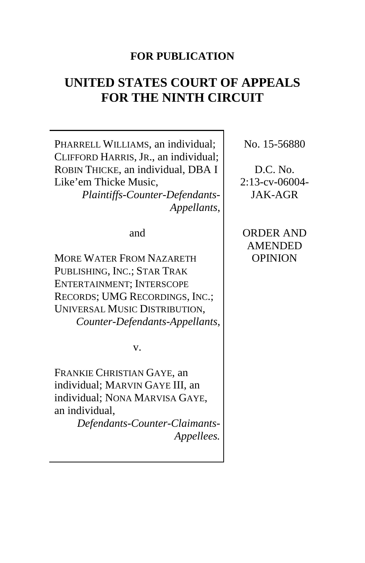#### **FOR PUBLICATION**

# **UNITED STATES COURT OF APPEALS FOR THE NINTH CIRCUIT**

PHARRELL WILLIAMS, an individual; CLIFFORD HARRIS, JR., an individual; ROBIN THICKE, an individual, DBA I Like'em Thicke Music,

*Plaintiffs-Counter-Defendants-Appellants*,

and

MORE WATER FROM NAZARETH PUBLISHING, INC.; STAR TRAK ENTERTAINMENT; INTERSCOPE RECORDS; UMG RECORDINGS, INC.; UNIVERSAL MUSIC DISTRIBUTION, *Counter-Defendants-Appellants*,

v.

FRANKIE CHRISTIAN GAYE, an individual; MARVIN GAYE III, an individual; NONA MARVISA GAYE, an individual,

> *Defendants-Counter-Claimants-Appellees.*

No. 15-56880

D.C. No. 2:13-cv-06004- JAK-AGR

ORDER AND AMENDED OPINION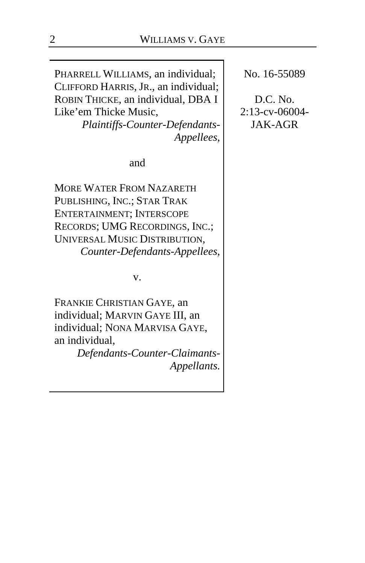PHARRELL WILLIAMS, an individual; CLIFFORD HARRIS, JR., an individual; ROBIN THICKE, an individual, DBA I Like'em Thicke Music,

*Plaintiffs-Counter-Defendants-Appellees*,

and

MORE WATER FROM NAZARETH PUBLISHING, INC.; STAR TRAK ENTERTAINMENT; INTERSCOPE RECORDS; UMG RECORDINGS, INC.; UNIVERSAL MUSIC DISTRIBUTION, *Counter-Defendants-Appellees*,

v.

FRANKIE CHRISTIAN GAYE, an individual; MARVIN GAYE III, an individual; NONA MARVISA GAYE, an individual,

*Defendants-Counter-Claimants-Appellants.*

No. 16-55089

D.C. No. 2:13-cv-06004- JAK-AGR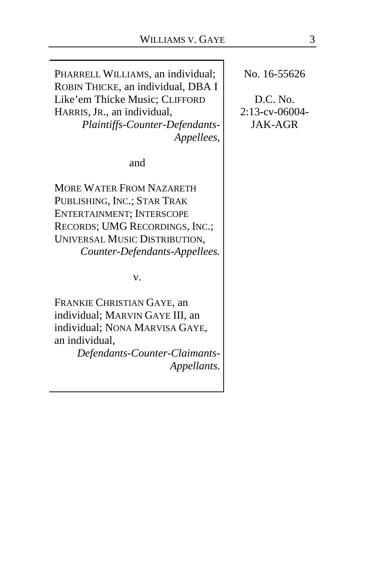PHARRELL WILLIAMS, an individual; ROBIN THICKE, an individual, DBA I Like'em Thicke Music; CLIFFORD HARRIS, JR., an individual, *Plaintiffs-Counter-Defendants-Appellees*,

and

MORE WATER FROM NAZARETH PUBLISHING, INC.; STAR TRAK ENTERTAINMENT; INTERSCOPE RECORDS; UMG RECORDINGS, INC.; UNIVERSAL MUSIC DISTRIBUTION, *Counter-Defendants-Appellees.*

v.

FRANKIE CHRISTIAN GAYE, an individual; MARVIN GAYE III, an individual; NONA MARVISA GAYE, an individual,

*Defendants-Counter-Claimants-Appellants*. No. 16-55626

D.C. No. 2:13-cv-06004- JAK-AGR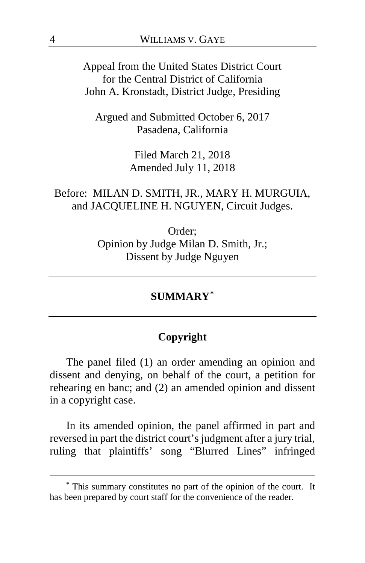Appeal from the United States District Court for the Central District of California John A. Kronstadt, District Judge, Presiding

Argued and Submitted October 6, 2017 Pasadena, California

> Filed March 21, 2018 Amended July 11, 2018

## Before: MILAN D. SMITH, JR., MARY H. MURGUIA, and JACQUELINE H. NGUYEN, Circuit Judges.

Order; Opinion by Judge Milan D. Smith, Jr.; Dissent by Judge Nguyen

#### **SUMMARY[\\*](#page-3-0)**

#### **Copyright**

The panel filed (1) an order amending an opinion and dissent and denying, on behalf of the court, a petition for rehearing en banc; and (2) an amended opinion and dissent in a copyright case.

In its amended opinion, the panel affirmed in part and reversed in part the district court's judgment after a jury trial, ruling that plaintiffs' song "Blurred Lines" infringed

<span id="page-3-0"></span>**<sup>\*</sup>** This summary constitutes no part of the opinion of the court. It has been prepared by court staff for the convenience of the reader.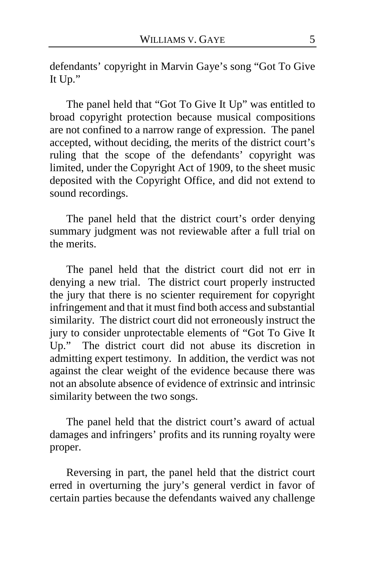defendants' copyright in Marvin Gaye's song "Got To Give It Up."

The panel held that "Got To Give It Up" was entitled to broad copyright protection because musical compositions are not confined to a narrow range of expression. The panel accepted, without deciding, the merits of the district court's ruling that the scope of the defendants' copyright was limited, under the Copyright Act of 1909, to the sheet music deposited with the Copyright Office, and did not extend to sound recordings.

The panel held that the district court's order denying summary judgment was not reviewable after a full trial on the merits.

The panel held that the district court did not err in denying a new trial. The district court properly instructed the jury that there is no scienter requirement for copyright infringement and that it must find both access and substantial similarity. The district court did not erroneously instruct the jury to consider unprotectable elements of "Got To Give It Up." The district court did not abuse its discretion in admitting expert testimony. In addition, the verdict was not against the clear weight of the evidence because there was not an absolute absence of evidence of extrinsic and intrinsic similarity between the two songs.

The panel held that the district court's award of actual damages and infringers' profits and its running royalty were proper.

Reversing in part, the panel held that the district court erred in overturning the jury's general verdict in favor of certain parties because the defendants waived any challenge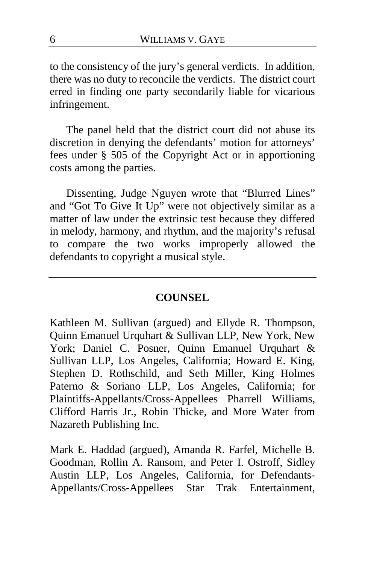to the consistency of the jury's general verdicts. In addition, there was no duty to reconcile the verdicts. The district court erred in finding one party secondarily liable for vicarious infringement.

The panel held that the district court did not abuse its discretion in denying the defendants' motion for attorneys' fees under § 505 of the Copyright Act or in apportioning costs among the parties.

Dissenting, Judge Nguyen wrote that "Blurred Lines" and "Got To Give It Up" were not objectively similar as a matter of law under the extrinsic test because they differed in melody, harmony, and rhythm, and the majority's refusal to compare the two works improperly allowed the defendants to copyright a musical style.

#### **COUNSEL**

Kathleen M. Sullivan (argued) and Ellyde R. Thompson, Quinn Emanuel Urquhart & Sullivan LLP, New York, New York; Daniel C. Posner, Quinn Emanuel Urquhart & Sullivan LLP, Los Angeles, California; Howard E. King, Stephen D. Rothschild, and Seth Miller, King Holmes Paterno & Soriano LLP, Los Angeles, California; for Plaintiffs-Appellants/Cross-Appellees Pharrell Williams, Clifford Harris Jr., Robin Thicke, and More Water from Nazareth Publishing Inc.

Mark E. Haddad (argued), Amanda R. Farfel, Michelle B. Goodman, Rollin A. Ransom, and Peter I. Ostroff, Sidley Austin LLP, Los Angeles, California, for Defendants-Appellants/Cross-Appellees Star Trak Entertainment,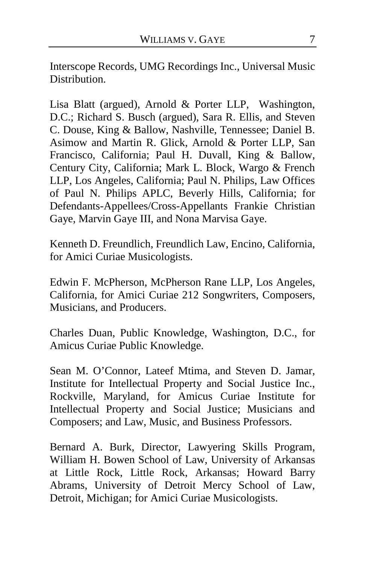Interscope Records, UMG Recordings Inc., Universal Music Distribution.

Lisa Blatt (argued), Arnold & Porter LLP, Washington, D.C.; Richard S. Busch (argued), Sara R. Ellis, and Steven C. Douse, King & Ballow, Nashville, Tennessee; Daniel B. Asimow and Martin R. Glick, Arnold & Porter LLP, San Francisco, California; Paul H. Duvall, King & Ballow, Century City, California; Mark L. Block, Wargo & French LLP, Los Angeles, California; Paul N. Philips, Law Offices of Paul N. Philips APLC, Beverly Hills, California; for Defendants-Appellees/Cross-Appellants Frankie Christian Gaye, Marvin Gaye III, and Nona Marvisa Gaye.

Kenneth D. Freundlich, Freundlich Law, Encino, California, for Amici Curiae Musicologists.

Edwin F. McPherson, McPherson Rane LLP, Los Angeles, California, for Amici Curiae 212 Songwriters, Composers, Musicians, and Producers.

Charles Duan, Public Knowledge, Washington, D.C., for Amicus Curiae Public Knowledge.

Sean M. O'Connor, Lateef Mtima, and Steven D. Jamar, Institute for Intellectual Property and Social Justice Inc., Rockville, Maryland, for Amicus Curiae Institute for Intellectual Property and Social Justice; Musicians and Composers; and Law, Music, and Business Professors.

Bernard A. Burk, Director, Lawyering Skills Program, William H. Bowen School of Law, University of Arkansas at Little Rock, Little Rock, Arkansas; Howard Barry Abrams, University of Detroit Mercy School of Law, Detroit, Michigan; for Amici Curiae Musicologists.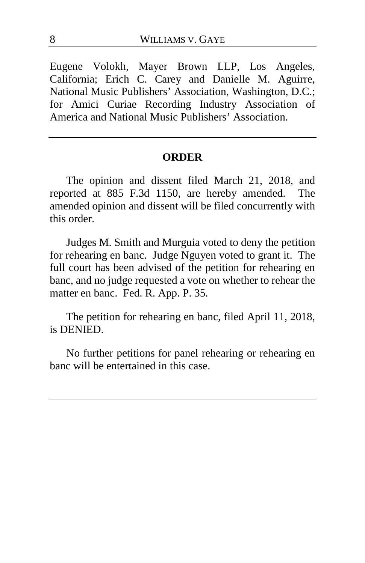Eugene Volokh, Mayer Brown LLP, Los Angeles, California; Erich C. Carey and Danielle M. Aguirre, National Music Publishers' Association, Washington, D.C.; for Amici Curiae Recording Industry Association of America and National Music Publishers' Association.

#### **ORDER**

The opinion and dissent filed March 21, 2018, and reported at 885 F.3d 1150, are hereby amended. The amended opinion and dissent will be filed concurrently with this order.

Judges M. Smith and Murguia voted to deny the petition for rehearing en banc. Judge Nguyen voted to grant it. The full court has been advised of the petition for rehearing en banc, and no judge requested a vote on whether to rehear the matter en banc. Fed. R. App. P. 35.

The petition for rehearing en banc, filed April 11, 2018, is DENIED.

No further petitions for panel rehearing or rehearing en banc will be entertained in this case.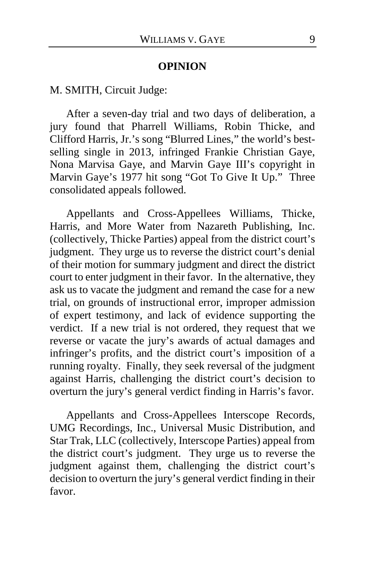#### **OPINION**

M. SMITH, Circuit Judge:

After a seven-day trial and two days of deliberation, a jury found that Pharrell Williams, Robin Thicke, and Clifford Harris, Jr.'s song "Blurred Lines," the world's bestselling single in 2013, infringed Frankie Christian Gaye, Nona Marvisa Gaye, and Marvin Gaye III's copyright in Marvin Gaye's 1977 hit song "Got To Give It Up." Three consolidated appeals followed.

Appellants and Cross-Appellees Williams, Thicke, Harris, and More Water from Nazareth Publishing, Inc. (collectively, Thicke Parties) appeal from the district court's judgment. They urge us to reverse the district court's denial of their motion for summary judgment and direct the district court to enter judgment in their favor. In the alternative, they ask us to vacate the judgment and remand the case for a new trial, on grounds of instructional error, improper admission of expert testimony, and lack of evidence supporting the verdict. If a new trial is not ordered, they request that we reverse or vacate the jury's awards of actual damages and infringer's profits, and the district court's imposition of a running royalty. Finally, they seek reversal of the judgment against Harris, challenging the district court's decision to overturn the jury's general verdict finding in Harris's favor.

Appellants and Cross-Appellees Interscope Records, UMG Recordings, Inc., Universal Music Distribution, and Star Trak, LLC (collectively, Interscope Parties) appeal from the district court's judgment. They urge us to reverse the judgment against them, challenging the district court's decision to overturn the jury's general verdict finding in their favor.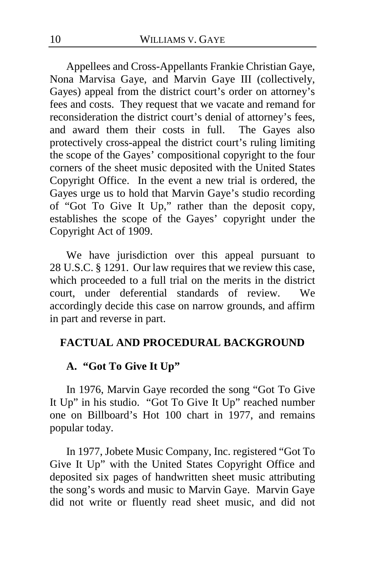Appellees and Cross-Appellants Frankie Christian Gaye, Nona Marvisa Gaye, and Marvin Gaye III (collectively, Gayes) appeal from the district court's order on attorney's fees and costs. They request that we vacate and remand for reconsideration the district court's denial of attorney's fees, and award them their costs in full. The Gayes also protectively cross-appeal the district court's ruling limiting the scope of the Gayes' compositional copyright to the four corners of the sheet music deposited with the United States Copyright Office. In the event a new trial is ordered, the Gayes urge us to hold that Marvin Gaye's studio recording of "Got To Give It Up," rather than the deposit copy, establishes the scope of the Gayes' copyright under the Copyright Act of 1909.

We have jurisdiction over this appeal pursuant to 28 U.S.C. § 1291. Our law requires that we review this case, which proceeded to a full trial on the merits in the district court, under deferential standards of review. We accordingly decide this case on narrow grounds, and affirm in part and reverse in part.

#### **FACTUAL AND PROCEDURAL BACKGROUND**

#### **A. "Got To Give It Up"**

In 1976, Marvin Gaye recorded the song "Got To Give It Up" in his studio. "Got To Give It Up" reached number one on Billboard's Hot 100 chart in 1977, and remains popular today.

In 1977, Jobete Music Company, Inc. registered "Got To Give It Up" with the United States Copyright Office and deposited six pages of handwritten sheet music attributing the song's words and music to Marvin Gaye. Marvin Gaye did not write or fluently read sheet music, and did not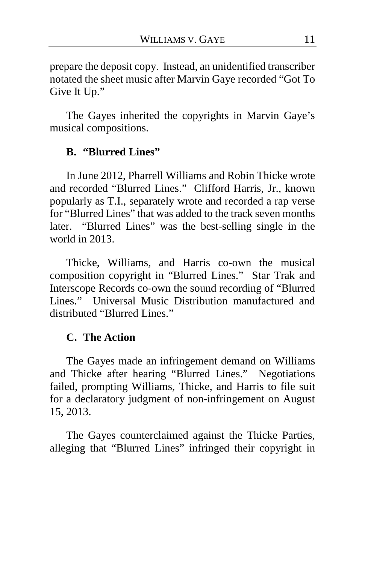prepare the deposit copy. Instead, an unidentified transcriber notated the sheet music after Marvin Gaye recorded "Got To Give It Up."

The Gayes inherited the copyrights in Marvin Gaye's musical compositions.

### **B. "Blurred Lines"**

In June 2012, Pharrell Williams and Robin Thicke wrote and recorded "Blurred Lines." Clifford Harris, Jr., known popularly as T.I., separately wrote and recorded a rap verse for "Blurred Lines" that was added to the track seven months later. "Blurred Lines" was the best-selling single in the world in 2013.

Thicke, Williams, and Harris co-own the musical composition copyright in "Blurred Lines." Star Trak and Interscope Records co-own the sound recording of "Blurred Lines." Universal Music Distribution manufactured and distributed "Blurred Lines."

#### **C. The Action**

The Gayes made an infringement demand on Williams and Thicke after hearing "Blurred Lines." Negotiations failed, prompting Williams, Thicke, and Harris to file suit for a declaratory judgment of non-infringement on August 15, 2013.

The Gayes counterclaimed against the Thicke Parties, alleging that "Blurred Lines" infringed their copyright in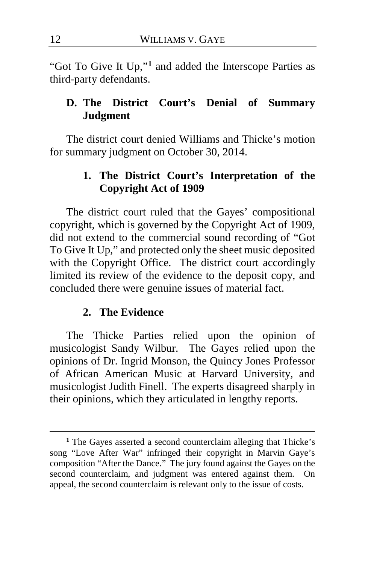"Got To Give It Up,"**[1](#page-11-0)** and added the Interscope Parties as third-party defendants.

## **D. The District Court's Denial of Summary Judgment**

The district court denied Williams and Thicke's motion for summary judgment on October 30, 2014.

## **1. The District Court's Interpretation of the Copyright Act of 1909**

The district court ruled that the Gayes' compositional copyright, which is governed by the Copyright Act of 1909, did not extend to the commercial sound recording of "Got To Give It Up," and protected only the sheet music deposited with the Copyright Office. The district court accordingly limited its review of the evidence to the deposit copy, and concluded there were genuine issues of material fact.

#### **2. The Evidence**

The Thicke Parties relied upon the opinion of musicologist Sandy Wilbur. The Gayes relied upon the opinions of Dr. Ingrid Monson, the Quincy Jones Professor of African American Music at Harvard University, and musicologist Judith Finell. The experts disagreed sharply in their opinions, which they articulated in lengthy reports.

<span id="page-11-0"></span>**<sup>1</sup>** The Gayes asserted a second counterclaim alleging that Thicke's song "Love After War" infringed their copyright in Marvin Gaye's composition "After the Dance." The jury found against the Gayes on the second counterclaim, and judgment was entered against them. On appeal, the second counterclaim is relevant only to the issue of costs.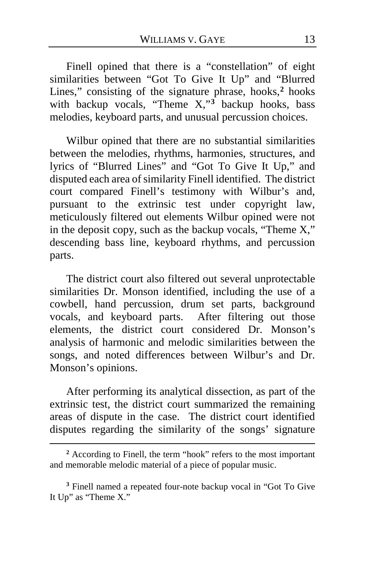Finell opined that there is a "constellation" of eight similarities between "Got To Give It Up" and "Blurred Lines," consisting of the signature phrase, hooks,**[2](#page-12-0)** hooks with backup vocals, "Theme X,"**[3](#page-12-1)** backup hooks, bass melodies, keyboard parts, and unusual percussion choices.

Wilbur opined that there are no substantial similarities between the melodies, rhythms, harmonies, structures, and lyrics of "Blurred Lines" and "Got To Give It Up," and disputed each area of similarity Finell identified. The district court compared Finell's testimony with Wilbur's and, pursuant to the extrinsic test under copyright law, meticulously filtered out elements Wilbur opined were not in the deposit copy, such as the backup vocals, "Theme X," descending bass line, keyboard rhythms, and percussion parts.

The district court also filtered out several unprotectable similarities Dr. Monson identified, including the use of a cowbell, hand percussion, drum set parts, background vocals, and keyboard parts. After filtering out those elements, the district court considered Dr. Monson's analysis of harmonic and melodic similarities between the songs, and noted differences between Wilbur's and Dr. Monson's opinions.

After performing its analytical dissection, as part of the extrinsic test, the district court summarized the remaining areas of dispute in the case. The district court identified disputes regarding the similarity of the songs' signature

<span id="page-12-0"></span>**<sup>2</sup>** According to Finell, the term "hook" refers to the most important and memorable melodic material of a piece of popular music.

<span id="page-12-1"></span>**<sup>3</sup>** Finell named a repeated four-note backup vocal in "Got To Give It Up" as "Theme X."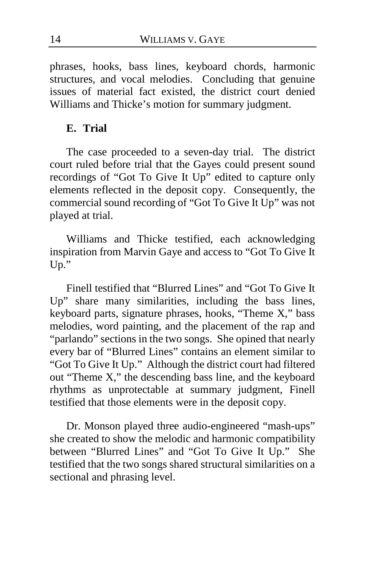phrases, hooks, bass lines, keyboard chords, harmonic structures, and vocal melodies. Concluding that genuine issues of material fact existed, the district court denied Williams and Thicke's motion for summary judgment.

## **E. Trial**

The case proceeded to a seven-day trial. The district court ruled before trial that the Gayes could present sound recordings of "Got To Give It Up" edited to capture only elements reflected in the deposit copy. Consequently, the commercial sound recording of "Got To Give It Up" was not played at trial.

Williams and Thicke testified, each acknowledging inspiration from Marvin Gaye and access to "Got To Give It  $Un.$ "

Finell testified that "Blurred Lines" and "Got To Give It Up" share many similarities, including the bass lines, keyboard parts, signature phrases, hooks, "Theme X," bass melodies, word painting, and the placement of the rap and "parlando" sections in the two songs. She opined that nearly every bar of "Blurred Lines" contains an element similar to "Got To Give It Up." Although the district court had filtered out "Theme X," the descending bass line, and the keyboard rhythms as unprotectable at summary judgment, Finell testified that those elements were in the deposit copy.

Dr. Monson played three audio-engineered "mash-ups" she created to show the melodic and harmonic compatibility between "Blurred Lines" and "Got To Give It Up." She testified that the two songs shared structural similarities on a sectional and phrasing level.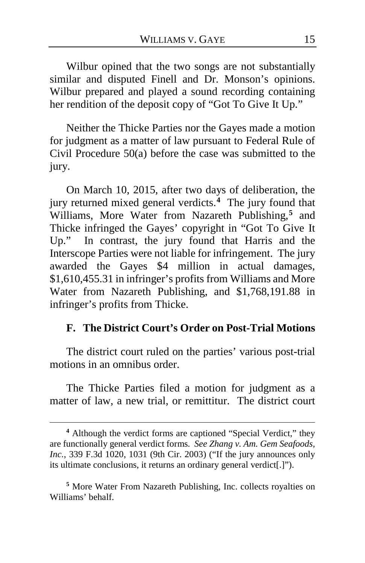Wilbur opined that the two songs are not substantially similar and disputed Finell and Dr. Monson's opinions. Wilbur prepared and played a sound recording containing her rendition of the deposit copy of "Got To Give It Up."

Neither the Thicke Parties nor the Gayes made a motion for judgment as a matter of law pursuant to Federal Rule of Civil Procedure 50(a) before the case was submitted to the jury.

On March 10, 2015, after two days of deliberation, the jury returned mixed general verdicts.**[4](#page-14-0)** The jury found that Williams, More Water from Nazareth Publishing,**[5](#page-14-1)** and Thicke infringed the Gayes' copyright in "Got To Give It Up." In contrast, the jury found that Harris and the Interscope Parties were not liable for infringement. The jury awarded the Gayes \$4 million in actual damages, \$1,610,455.31 in infringer's profits from Williams and More Water from Nazareth Publishing, and \$1,768,191.88 in infringer's profits from Thicke.

#### **F. The District Court's Order on Post-Trial Motions**

The district court ruled on the parties' various post-trial motions in an omnibus order.

The Thicke Parties filed a motion for judgment as a matter of law, a new trial, or remittitur. The district court

 $\overline{a}$ 

<span id="page-14-1"></span>**<sup>5</sup>** More Water From Nazareth Publishing, Inc. collects royalties on Williams' behalf.

<span id="page-14-0"></span>**<sup>4</sup>** Although the verdict forms are captioned "Special Verdict," they are functionally general verdict forms. *See Zhang v. Am. Gem Seafoods, Inc.*, 339 F.3d 1020, 1031 (9th Cir. 2003) ("If the jury announces only its ultimate conclusions, it returns an ordinary general verdict[.]").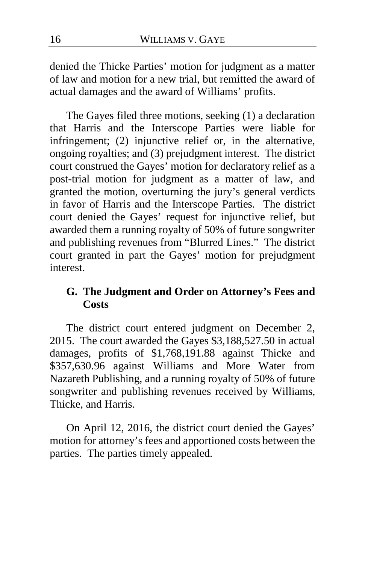denied the Thicke Parties' motion for judgment as a matter of law and motion for a new trial, but remitted the award of actual damages and the award of Williams' profits.

The Gayes filed three motions, seeking (1) a declaration that Harris and the Interscope Parties were liable for infringement; (2) injunctive relief or, in the alternative, ongoing royalties; and (3) prejudgment interest. The district court construed the Gayes' motion for declaratory relief as a post-trial motion for judgment as a matter of law, and granted the motion, overturning the jury's general verdicts in favor of Harris and the Interscope Parties. The district court denied the Gayes' request for injunctive relief, but awarded them a running royalty of 50% of future songwriter and publishing revenues from "Blurred Lines." The district court granted in part the Gayes' motion for prejudgment interest.

## **G. The Judgment and Order on Attorney's Fees and Costs**

The district court entered judgment on December 2, 2015. The court awarded the Gayes \$3,188,527.50 in actual damages, profits of \$1,768,191.88 against Thicke and \$357,630.96 against Williams and More Water from Nazareth Publishing, and a running royalty of 50% of future songwriter and publishing revenues received by Williams, Thicke, and Harris.

On April 12, 2016, the district court denied the Gayes' motion for attorney's fees and apportioned costs between the parties. The parties timely appealed.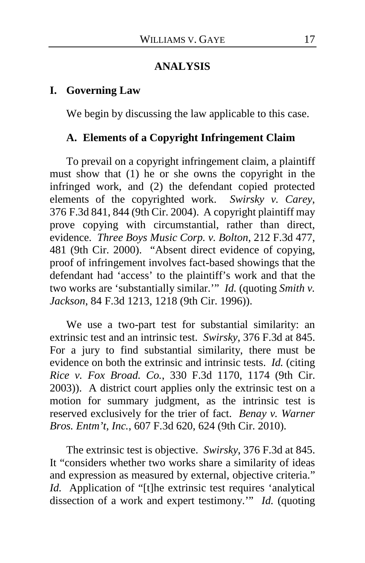#### **ANALYSIS**

#### **I. Governing Law**

We begin by discussing the law applicable to this case.

#### **A. Elements of a Copyright Infringement Claim**

To prevail on a copyright infringement claim, a plaintiff must show that (1) he or she owns the copyright in the infringed work, and (2) the defendant copied protected elements of the copyrighted work. *Swirsky v. Carey*, 376 F.3d 841, 844 (9th Cir. 2004). A copyright plaintiff may prove copying with circumstantial, rather than direct, evidence. *Three Boys Music Corp. v. Bolton*, 212 F.3d 477, 481 (9th Cir. 2000)."Absent direct evidence of copying, proof of infringement involves fact-based showings that the defendant had 'access' to the plaintiff's work and that the two works are 'substantially similar.'" *Id.* (quoting *Smith v. Jackson*, 84 F.3d 1213, 1218 (9th Cir. 1996)).

We use a two-part test for substantial similarity: an extrinsic test and an intrinsic test. *Swirsky*, 376 F.3d at 845. For a jury to find substantial similarity, there must be evidence on both the extrinsic and intrinsic tests. *Id.* (citing *Rice v. Fox Broad. Co.*, 330 F.3d 1170, 1174 (9th Cir. 2003)). A district court applies only the extrinsic test on a motion for summary judgment, as the intrinsic test is reserved exclusively for the trier of fact. *Benay v. Warner Bros. Entm't, Inc.*, 607 F.3d 620, 624 (9th Cir. 2010).

The extrinsic test is objective. *Swirsky*, 376 F.3d at 845. It "considers whether two works share a similarity of ideas and expression as measured by external, objective criteria." *Id.* Application of "[t]he extrinsic test requires 'analytical dissection of a work and expert testimony.'" *Id.* (quoting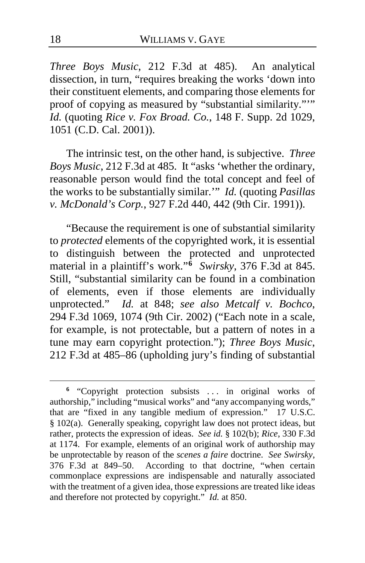*Three Boys Music*, 212 F.3d at 485). An analytical dissection, in turn, "requires breaking the works 'down into their constituent elements, and comparing those elements for proof of copying as measured by "substantial similarity.""" *Id.* (quoting *Rice v. Fox Broad. Co.*, 148 F. Supp. 2d 1029, 1051 (C.D. Cal. 2001)).

The intrinsic test, on the other hand, is subjective. *Three Boys Music*, 212 F.3d at 485. It "asks 'whether the ordinary, reasonable person would find the total concept and feel of the works to be substantially similar.'" *Id.* (quoting *Pasillas v. McDonald's Corp.*, 927 F.2d 440, 442 (9th Cir. 1991)).

"Because the requirement is one of substantial similarity to *protected* elements of the copyrighted work, it is essential to distinguish between the protected and unprotected material in a plaintiff's work."**[6](#page-17-0)** *Swirsky*, 376 F.3d at 845. Still, "substantial similarity can be found in a combination of elements, even if those elements are individually unprotected." *Id.* at 848; *see also Metcalf v. Bochco*, 294 F.3d 1069, 1074 (9th Cir. 2002) ("Each note in a scale, for example, is not protectable, but a pattern of notes in a tune may earn copyright protection."); *Three Boys Music*, 212 F.3d at 485–86 (upholding jury's finding of substantial

<span id="page-17-0"></span>**<sup>6</sup>** "Copyright protection subsists . . . in original works of authorship," including "musical works" and "any accompanying words," that are "fixed in any tangible medium of expression." 17 U.S.C. § 102(a). Generally speaking, copyright law does not protect ideas, but rather, protects the expression of ideas. *See id.* § 102(b); *Rice*, 330 F.3d at 1174. For example, elements of an original work of authorship may be unprotectable by reason of the *scenes a faire* doctrine. *See Swirsky*, 376 F.3d at 849–50. According to that doctrine, "when certain commonplace expressions are indispensable and naturally associated with the treatment of a given idea, those expressions are treated like ideas and therefore not protected by copyright." *Id.* at 850.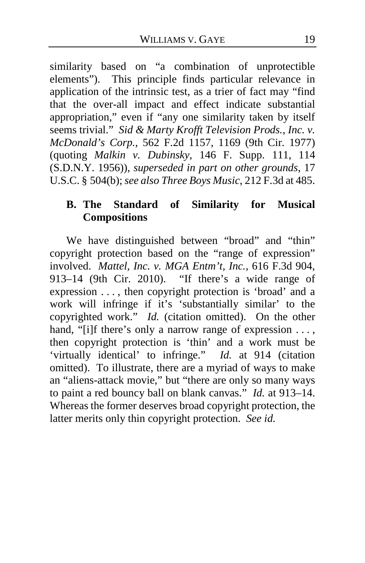similarity based on "a combination of unprotectible elements"). This principle finds particular relevance in application of the intrinsic test, as a trier of fact may "find that the over-all impact and effect indicate substantial appropriation," even if "any one similarity taken by itself seems trivial." *Sid & Marty Krofft Television Prods., Inc. v. McDonald's Corp.*, 562 F.2d 1157, 1169 (9th Cir. 1977) (quoting *Malkin v. Dubinsky*, 146 F. Supp. 111, 114 (S.D.N.Y. 1956)), *superseded in part on other grounds*, 17 U.S.C. § 504(b); *see also Three Boys Music*, 212 F.3d at 485.

## **B. The Standard of Similarity for Musical Compositions**

We have distinguished between "broad" and "thin" copyright protection based on the "range of expression" involved. *Mattel, Inc. v. MGA Entm't, Inc.*, 616 F.3d 904, 913–14 (9th Cir. 2010). "If there's a wide range of expression . . . , then copyright protection is 'broad' and a work will infringe if it's 'substantially similar' to the copyrighted work." *Id.* (citation omitted).On the other hand, "[i]f there's only a narrow range of expression ..., then copyright protection is 'thin' and a work must be 'virtually identical' to infringe." *Id.* at 914 (citation omitted). To illustrate, there are a myriad of ways to make an "aliens-attack movie," but "there are only so many ways to paint a red bouncy ball on blank canvas." *Id.* at 913–14. Whereas the former deserves broad copyright protection, the latter merits only thin copyright protection. *See id.*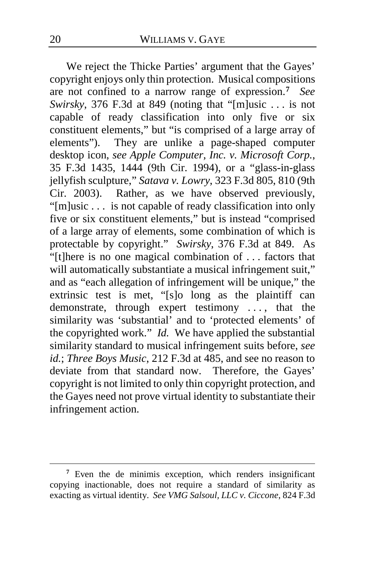We reject the Thicke Parties' argument that the Gayes' copyright enjoys only thin protection. Musical compositions are not confined to a narrow range of expression.**[7](#page-19-0)** *See Swirsky*, 376 F.3d at 849 (noting that "[m]usic . . . is not capable of ready classification into only five or six constituent elements," but "is comprised of a large array of elements"). They are unlike a page-shaped computer desktop icon, *see Apple Computer, Inc. v. Microsoft Corp.*, 35 F.3d 1435, 1444 (9th Cir. 1994), or a "glass-in-glass jellyfish sculpture," *Satava v. Lowry*, 323 F.3d 805, 810 (9th Cir. 2003). Rather, as we have observed previously, "[m]usic . . . is not capable of ready classification into only five or six constituent elements," but is instead "comprised of a large array of elements, some combination of which is protectable by copyright." *Swirsky*, 376 F.3d at 849. As "[t]here is no one magical combination of . . . factors that will automatically substantiate a musical infringement suit," and as "each allegation of infringement will be unique," the extrinsic test is met, "[s]o long as the plaintiff can demonstrate, through expert testimony . . . , that the similarity was 'substantial' and to 'protected elements' of the copyrighted work." *Id.* We have applied the substantial similarity standard to musical infringement suits before, *see id.*; *Three Boys Music*, 212 F.3d at 485, and see no reason to deviate from that standard now. Therefore, the Gayes' copyright is not limited to only thin copyright protection, and the Gayes need not prove virtual identity to substantiate their infringement action.

<span id="page-19-0"></span>**<sup>7</sup>** Even the de minimis exception, which renders insignificant copying inactionable, does not require a standard of similarity as exacting as virtual identity. *See VMG Salsoul, LLC v. Ciccone*, 824 F.3d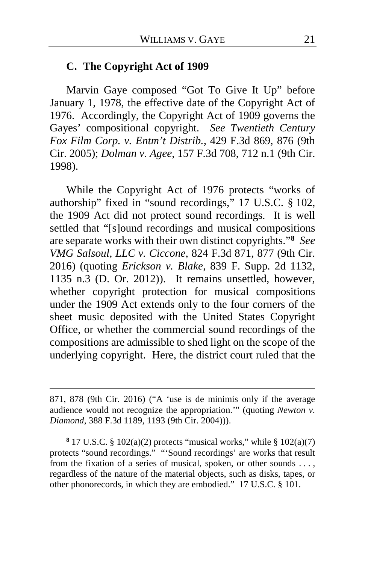#### **C. The Copyright Act of 1909**

Marvin Gaye composed "Got To Give It Up" before January 1, 1978, the effective date of the Copyright Act of 1976. Accordingly, the Copyright Act of 1909 governs the Gayes' compositional copyright. *See Twentieth Century Fox Film Corp. v. Entm't Distrib.*, 429 F.3d 869, 876 (9th Cir. 2005); *Dolman v. Agee*, 157 F.3d 708, 712 n.1 (9th Cir. 1998).

While the Copyright Act of 1976 protects "works of authorship" fixed in "sound recordings," 17 U.S.C. § 102, the 1909 Act did not protect sound recordings. It is well settled that "[s]ound recordings and musical compositions are separate works with their own distinct copyrights."**[8](#page-20-0)** *See VMG Salsoul, LLC v. Ciccone*, 824 F.3d 871, 877 (9th Cir. 2016) (quoting *Erickson v. Blake*, 839 F. Supp. 2d 1132, 1135 n.3 (D. Or. 2012)). It remains unsettled, however, whether copyright protection for musical compositions under the 1909 Act extends only to the four corners of the sheet music deposited with the United States Copyright Office, or whether the commercial sound recordings of the compositions are admissible to shed light on the scope of the underlying copyright. Here, the district court ruled that the

<sup>871, 878 (9</sup>th Cir. 2016) ("A 'use is de minimis only if the average audience would not recognize the appropriation.'" (quoting *Newton v. Diamond*, 388 F.3d 1189, 1193 (9th Cir. 2004))).

<span id="page-20-0"></span>**<sup>8</sup>** 17 U.S.C. § 102(a)(2) protects "musical works," while § 102(a)(7) protects "sound recordings." "'Sound recordings' are works that result from the fixation of a series of musical, spoken, or other sounds . . . , regardless of the nature of the material objects, such as disks, tapes, or other phonorecords, in which they are embodied." 17 U.S.C. § 101.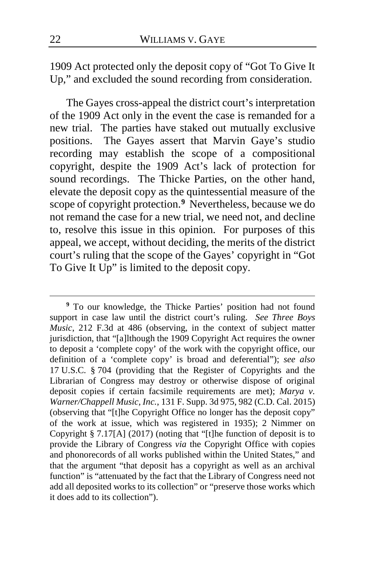1909 Act protected only the deposit copy of "Got To Give It Up," and excluded the sound recording from consideration.

The Gayes cross-appeal the district court's interpretation of the 1909 Act only in the event the case is remanded for a new trial. The parties have staked out mutually exclusive positions. The Gayes assert that Marvin Gaye's studio recording may establish the scope of a compositional copyright, despite the 1909 Act's lack of protection for sound recordings. The Thicke Parties, on the other hand, elevate the deposit copy as the quintessential measure of the scope of copyright protection.**[9](#page-21-0)** Nevertheless, because we do not remand the case for a new trial, we need not, and decline to, resolve this issue in this opinion. For purposes of this appeal, we accept, without deciding, the merits of the district court's ruling that the scope of the Gayes' copyright in "Got To Give It Up" is limited to the deposit copy.

<span id="page-21-0"></span>**<sup>9</sup>** To our knowledge, the Thicke Parties' position had not found support in case law until the district court's ruling. *See Three Boys Music*, 212 F.3d at 486 (observing, in the context of subject matter jurisdiction, that "[a]lthough the 1909 Copyright Act requires the owner to deposit a 'complete copy' of the work with the copyright office, our definition of a 'complete copy' is broad and deferential"); *see also* 17 U.S.C. § 704 (providing that the Register of Copyrights and the Librarian of Congress may destroy or otherwise dispose of original deposit copies if certain facsimile requirements are met); *Marya v. Warner/Chappell Music, Inc.*, 131 F. Supp. 3d 975, 982 (C.D. Cal. 2015) (observing that "[t]he Copyright Office no longer has the deposit copy" of the work at issue, which was registered in 1935); 2 Nimmer on Copyright § 7.17[A] (2017) (noting that "[t]he function of deposit is to provide the Library of Congress *via* the Copyright Office with copies and phonorecords of all works published within the United States," and that the argument "that deposit has a copyright as well as an archival function" is "attenuated by the fact that the Library of Congress need not add all deposited works to its collection" or "preserve those works which it does add to its collection").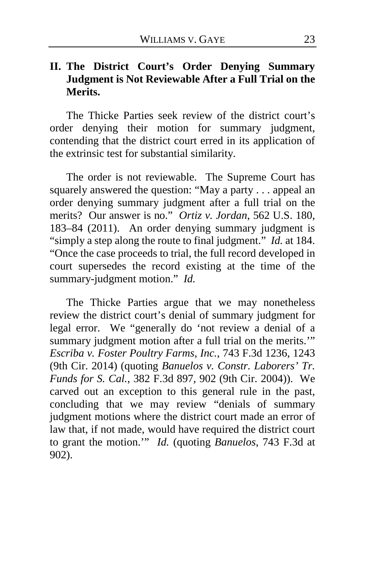## **II. The District Court's Order Denying Summary Judgment is Not Reviewable After a Full Trial on the Merits.**

The Thicke Parties seek review of the district court's order denying their motion for summary judgment, contending that the district court erred in its application of the extrinsic test for substantial similarity.

The order is not reviewable. The Supreme Court has squarely answered the question: "May a party . . . appeal an order denying summary judgment after a full trial on the merits? Our answer is no." *Ortiz v. Jordan*, 562 U.S. 180, 183–84 (2011). An order denying summary judgment is "simply a step along the route to final judgment." *Id.* at 184. "Once the case proceeds to trial, the full record developed in court supersedes the record existing at the time of the summary-judgment motion." *Id.*

The Thicke Parties argue that we may nonetheless review the district court's denial of summary judgment for legal error. We "generally do 'not review a denial of a summary judgment motion after a full trial on the merits." *Escriba v. Foster Poultry Farms, Inc.*, 743 F.3d 1236, 1243 (9th Cir. 2014) (quoting *Banuelos v. Constr. Laborers' Tr. Funds for S. Cal.*, 382 F.3d 897, 902 (9th Cir. 2004)). We carved out an exception to this general rule in the past, concluding that we may review "denials of summary judgment motions where the district court made an error of law that, if not made, would have required the district court to grant the motion.'" *Id.* (quoting *Banuelos*, 743 F.3d at 902).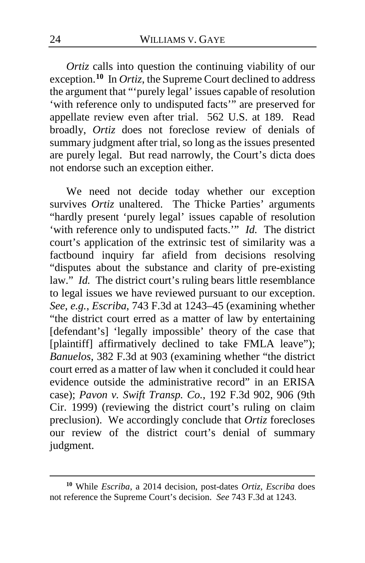*Ortiz* calls into question the continuing viability of our exception.**[10](#page-23-0)** In *Ortiz*, the Supreme Court declined to address the argument that "'purely legal' issues capable of resolution 'with reference only to undisputed facts'" are preserved for appellate review even after trial. 562 U.S. at 189. Read broadly, *Ortiz* does not foreclose review of denials of summary judgment after trial, so long as the issues presented are purely legal. But read narrowly, the Court's dicta does not endorse such an exception either.

We need not decide today whether our exception survives *Ortiz* unaltered. The Thicke Parties' arguments "hardly present 'purely legal' issues capable of resolution 'with reference only to undisputed facts.'" *Id.* The district court's application of the extrinsic test of similarity was a factbound inquiry far afield from decisions resolving "disputes about the substance and clarity of pre-existing law." *Id.* The district court's ruling bears little resemblance to legal issues we have reviewed pursuant to our exception. *See, e.g.*, *Escriba*, 743 F.3d at 1243–45 (examining whether "the district court erred as a matter of law by entertaining [defendant's] 'legally impossible' theory of the case that [plaintiff] affirmatively declined to take FMLA leave"); *Banuelos*, 382 F.3d at 903 (examining whether "the district court erred as a matter of law when it concluded it could hear evidence outside the administrative record" in an ERISA case); *Pavon v. Swift Transp. Co.*, 192 F.3d 902, 906 (9th Cir. 1999) (reviewing the district court's ruling on claim preclusion). We accordingly conclude that *Ortiz* forecloses our review of the district court's denial of summary judgment.

<span id="page-23-0"></span>**<sup>10</sup>** While *Escriba*, a 2014 decision, post-dates *Ortiz*, *Escriba* does not reference the Supreme Court's decision. *See* 743 F.3d at 1243.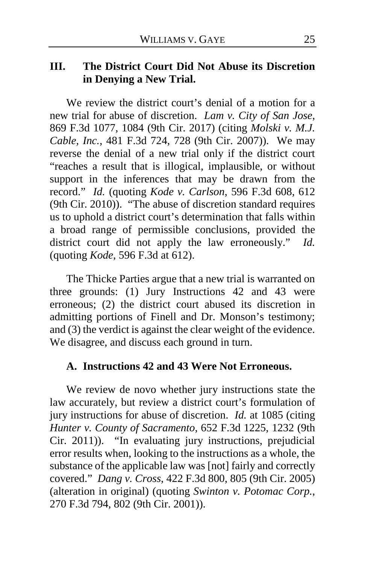#### **III. The District Court Did Not Abuse its Discretion in Denying a New Trial.**

We review the district court's denial of a motion for a new trial for abuse of discretion. *Lam v. City of San Jose*, 869 F.3d 1077, 1084 (9th Cir. 2017) (citing *Molski v. M.J. Cable, Inc.*, 481 F.3d 724, 728 (9th Cir. 2007)). We may reverse the denial of a new trial only if the district court "reaches a result that is illogical, implausible, or without support in the inferences that may be drawn from the record." *Id.* (quoting *Kode v. Carlson*, 596 F.3d 608, 612 (9th Cir. 2010)). "The abuse of discretion standard requires us to uphold a district court's determination that falls within a broad range of permissible conclusions, provided the district court did not apply the law erroneously." *Id.* (quoting *Kode*, 596 F.3d at 612).

The Thicke Parties argue that a new trial is warranted on three grounds: (1) Jury Instructions 42 and 43 were erroneous; (2) the district court abused its discretion in admitting portions of Finell and Dr. Monson's testimony; and (3) the verdict is against the clear weight of the evidence. We disagree, and discuss each ground in turn.

#### **A. Instructions 42 and 43 Were Not Erroneous.**

We review de novo whether jury instructions state the law accurately, but review a district court's formulation of jury instructions for abuse of discretion. *Id.* at 1085 (citing *Hunter v. County of Sacramento*, 652 F.3d 1225, 1232 (9th Cir. 2011)). "In evaluating jury instructions, prejudicial error results when, looking to the instructions as a whole, the substance of the applicable law was [not] fairly and correctly covered." *Dang v. Cross*, 422 F.3d 800, 805 (9th Cir. 2005) (alteration in original) (quoting *Swinton v. Potomac Corp.*, 270 F.3d 794, 802 (9th Cir. 2001)).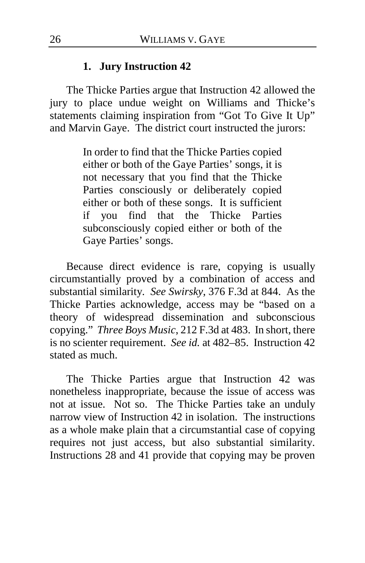#### **1. Jury Instruction 42**

The Thicke Parties argue that Instruction 42 allowed the jury to place undue weight on Williams and Thicke's statements claiming inspiration from "Got To Give It Up" and Marvin Gaye. The district court instructed the jurors:

> In order to find that the Thicke Parties copied either or both of the Gaye Parties' songs, it is not necessary that you find that the Thicke Parties consciously or deliberately copied either or both of these songs. It is sufficient if you find that the Thicke Parties subconsciously copied either or both of the Gaye Parties' songs.

Because direct evidence is rare, copying is usually circumstantially proved by a combination of access and substantial similarity. *See Swirsky*, 376 F.3d at 844. As the Thicke Parties acknowledge, access may be "based on a theory of widespread dissemination and subconscious copying." *Three Boys Music*, 212 F.3d at 483. In short, there is no scienter requirement. *See id.* at 482–85. Instruction 42 stated as much.

The Thicke Parties argue that Instruction 42 was nonetheless inappropriate, because the issue of access was not at issue. Not so. The Thicke Parties take an unduly narrow view of Instruction 42 in isolation. The instructions as a whole make plain that a circumstantial case of copying requires not just access, but also substantial similarity. Instructions 28 and 41 provide that copying may be proven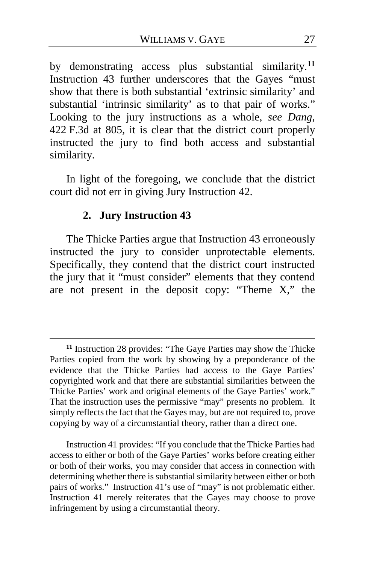by demonstrating access plus substantial similarity.**[11](#page-26-0)** Instruction 43 further underscores that the Gayes "must show that there is both substantial 'extrinsic similarity' and substantial 'intrinsic similarity' as to that pair of works." Looking to the jury instructions as a whole, *see Dang*, 422 F.3d at 805, it is clear that the district court properly instructed the jury to find both access and substantial similarity.

In light of the foregoing, we conclude that the district court did not err in giving Jury Instruction 42.

#### **2. Jury Instruction 43**

 $\overline{a}$ 

The Thicke Parties argue that Instruction 43 erroneously instructed the jury to consider unprotectable elements. Specifically, they contend that the district court instructed the jury that it "must consider" elements that they contend are not present in the deposit copy: "Theme X," the

Instruction 41 provides: "If you conclude that the Thicke Parties had access to either or both of the Gaye Parties' works before creating either or both of their works, you may consider that access in connection with determining whether there is substantial similarity between either or both pairs of works." Instruction 41's use of "may" is not problematic either. Instruction 41 merely reiterates that the Gayes may choose to prove infringement by using a circumstantial theory.

<span id="page-26-0"></span>**<sup>11</sup>** Instruction 28 provides: "The Gaye Parties may show the Thicke Parties copied from the work by showing by a preponderance of the evidence that the Thicke Parties had access to the Gaye Parties' copyrighted work and that there are substantial similarities between the Thicke Parties' work and original elements of the Gaye Parties' work." That the instruction uses the permissive "may" presents no problem. It simply reflects the fact that the Gayes may, but are not required to, prove copying by way of a circumstantial theory, rather than a direct one.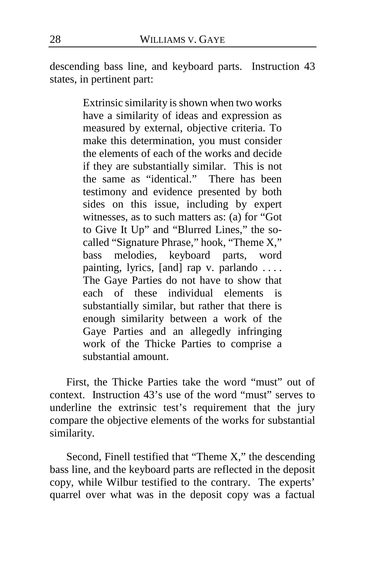descending bass line, and keyboard parts. Instruction 43 states, in pertinent part:

> Extrinsic similarity is shown when two works have a similarity of ideas and expression as measured by external, objective criteria. To make this determination, you must consider the elements of each of the works and decide if they are substantially similar. This is not the same as "identical." There has been testimony and evidence presented by both sides on this issue, including by expert witnesses, as to such matters as: (a) for "Got to Give It Up" and "Blurred Lines," the socalled "Signature Phrase," hook, "Theme X," bass melodies, keyboard parts, word painting, lyrics, [and] rap v. parlando .... The Gaye Parties do not have to show that each of these individual elements is substantially similar, but rather that there is enough similarity between a work of the Gaye Parties and an allegedly infringing work of the Thicke Parties to comprise a substantial amount.

First, the Thicke Parties take the word "must" out of context. Instruction 43's use of the word "must" serves to underline the extrinsic test's requirement that the jury compare the objective elements of the works for substantial similarity.

Second, Finell testified that "Theme X," the descending bass line, and the keyboard parts are reflected in the deposit copy, while Wilbur testified to the contrary. The experts' quarrel over what was in the deposit copy was a factual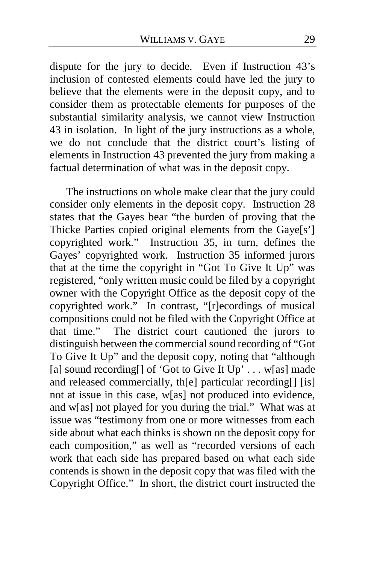dispute for the jury to decide. Even if Instruction 43's inclusion of contested elements could have led the jury to believe that the elements were in the deposit copy, and to consider them as protectable elements for purposes of the substantial similarity analysis, we cannot view Instruction 43 in isolation. In light of the jury instructions as a whole, we do not conclude that the district court's listing of elements in Instruction 43 prevented the jury from making a factual determination of what was in the deposit copy.

The instructions on whole make clear that the jury could consider only elements in the deposit copy. Instruction 28 states that the Gayes bear "the burden of proving that the Thicke Parties copied original elements from the Gaye[s'] copyrighted work." Instruction 35, in turn, defines the Gayes' copyrighted work. Instruction 35 informed jurors that at the time the copyright in "Got To Give It  $Up$ " was registered, "only written music could be filed by a copyright owner with the Copyright Office as the deposit copy of the copyrighted work." In contrast, "[r]ecordings of musical compositions could not be filed with the Copyright Office at that time." The district court cautioned the jurors to distinguish between the commercial sound recording of "Got To Give It Up" and the deposit copy, noting that "although [a] sound recording of 'Got to Give It  $Up' \dots w[as]$  made and released commercially, th[e] particular recording[] [is] not at issue in this case, w[as] not produced into evidence, and w[as] not played for you during the trial." What was at issue was "testimony from one or more witnesses from each side about what each thinks is shown on the deposit copy for each composition," as well as "recorded versions of each work that each side has prepared based on what each side contends is shown in the deposit copy that was filed with the Copyright Office." In short, the district court instructed the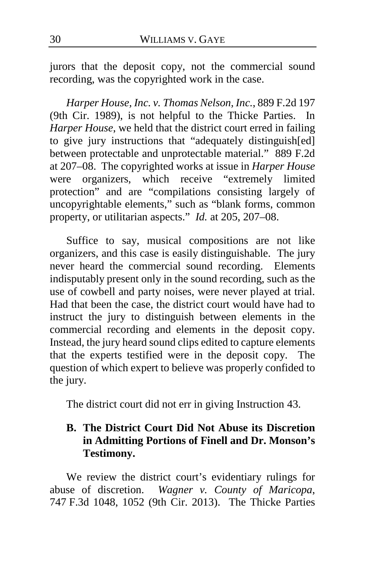jurors that the deposit copy, not the commercial sound recording, was the copyrighted work in the case.

*Harper House, Inc. v. Thomas Nelson, Inc.*, 889 F.2d 197 (9th Cir. 1989), is not helpful to the Thicke Parties. In *Harper House*, we held that the district court erred in failing to give jury instructions that "adequately distinguish[ed] between protectable and unprotectable material." 889 F.2d at 207–08.The copyrighted works at issue in *Harper House*  were organizers, which receive "extremely limited protection" and are "compilations consisting largely of uncopyrightable elements," such as "blank forms, common property, or utilitarian aspects." *Id.* at 205, 207–08.

Suffice to say, musical compositions are not like organizers, and this case is easily distinguishable. The jury never heard the commercial sound recording. Elements indisputably present only in the sound recording, such as the use of cowbell and party noises, were never played at trial. Had that been the case, the district court would have had to instruct the jury to distinguish between elements in the commercial recording and elements in the deposit copy. Instead, the jury heard sound clips edited to capture elements that the experts testified were in the deposit copy. The question of which expert to believe was properly confided to the jury.

The district court did not err in giving Instruction 43.

## **B. The District Court Did Not Abuse its Discretion in Admitting Portions of Finell and Dr. Monson's Testimony.**

We review the district court's evidentiary rulings for abuse of discretion. *Wagner v. County of Maricopa*, 747 F.3d 1048, 1052 (9th Cir. 2013). The Thicke Parties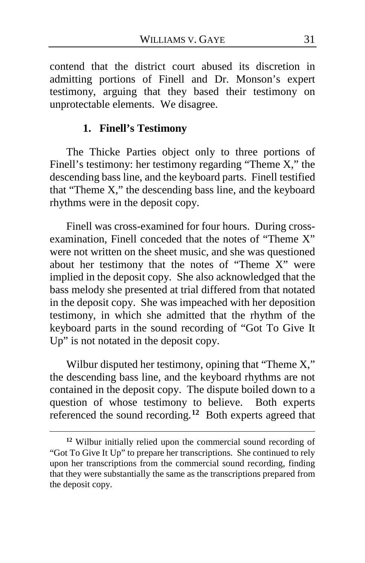contend that the district court abused its discretion in admitting portions of Finell and Dr. Monson's expert testimony, arguing that they based their testimony on unprotectable elements. We disagree.

#### **1. Finell's Testimony**

The Thicke Parties object only to three portions of Finell's testimony: her testimony regarding "Theme X," the descending bass line, and the keyboard parts. Finell testified that "Theme X," the descending bass line, and the keyboard rhythms were in the deposit copy.

Finell was cross-examined for four hours. During crossexamination, Finell conceded that the notes of "Theme X" were not written on the sheet music, and she was questioned about her testimony that the notes of "Theme X" were implied in the deposit copy. She also acknowledged that the bass melody she presented at trial differed from that notated in the deposit copy. She was impeached with her deposition testimony, in which she admitted that the rhythm of the keyboard parts in the sound recording of "Got To Give It Up" is not notated in the deposit copy.

Wilbur disputed her testimony, opining that "Theme X," the descending bass line, and the keyboard rhythms are not contained in the deposit copy. The dispute boiled down to a question of whose testimony to believe. Both experts referenced the sound recording.**[12](#page-30-0)** Both experts agreed that

<span id="page-30-0"></span>**<sup>12</sup>** Wilbur initially relied upon the commercial sound recording of "Got To Give It Up" to prepare her transcriptions. She continued to rely upon her transcriptions from the commercial sound recording, finding that they were substantially the same as the transcriptions prepared from the deposit copy.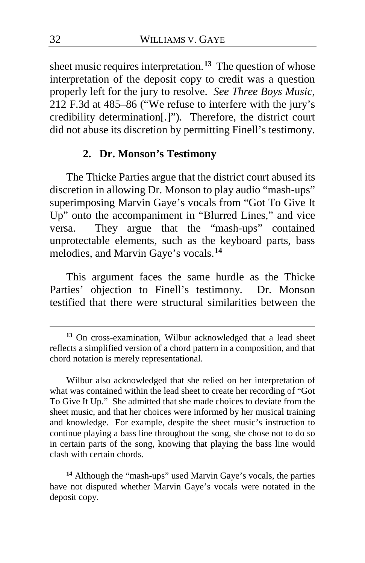sheet music requires interpretation.**[13](#page-31-0)** The question of whose interpretation of the deposit copy to credit was a question properly left for the jury to resolve. *See Three Boys Music*, 212 F.3d at 485–86 ("We refuse to interfere with the jury's credibility determination[.]"). Therefore, the district court did not abuse its discretion by permitting Finell's testimony.

#### **2. Dr. Monson's Testimony**

The Thicke Parties argue that the district court abused its discretion in allowing Dr. Monson to play audio "mash-ups" superimposing Marvin Gaye's vocals from "Got To Give It Up" onto the accompaniment in "Blurred Lines," and vice versa. They argue that the "mash-ups" contained unprotectable elements, such as the keyboard parts, bass melodies, and Marvin Gaye's vocals.**[14](#page-31-1)**

This argument faces the same hurdle as the Thicke Parties' objection to Finell's testimony. Dr. Monson testified that there were structural similarities between the

Wilbur also acknowledged that she relied on her interpretation of what was contained within the lead sheet to create her recording of "Got To Give It Up." She admitted that she made choices to deviate from the sheet music, and that her choices were informed by her musical training and knowledge. For example, despite the sheet music's instruction to continue playing a bass line throughout the song, she chose not to do so in certain parts of the song, knowing that playing the bass line would clash with certain chords.

<span id="page-31-1"></span>**<sup>14</sup>** Although the "mash-ups" used Marvin Gaye's vocals, the parties have not disputed whether Marvin Gaye's vocals were notated in the deposit copy.

<span id="page-31-0"></span>**<sup>13</sup>** On cross-examination, Wilbur acknowledged that a lead sheet reflects a simplified version of a chord pattern in a composition, and that chord notation is merely representational.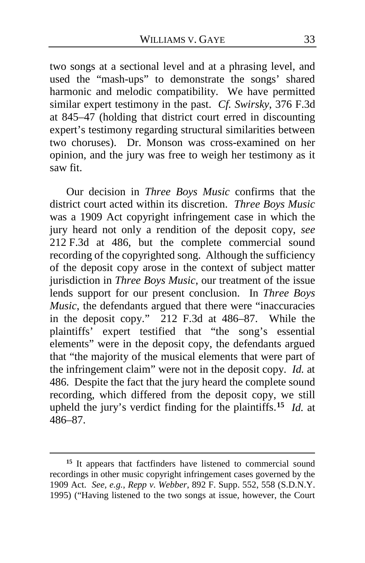two songs at a sectional level and at a phrasing level, and used the "mash-ups" to demonstrate the songs' shared harmonic and melodic compatibility. We have permitted similar expert testimony in the past. *Cf. Swirsky*, 376 F.3d at 845–47 (holding that district court erred in discounting expert's testimony regarding structural similarities between two choruses). Dr. Monson was cross-examined on her opinion, and the jury was free to weigh her testimony as it saw fit.

Our decision in *Three Boys Music* confirms that the district court acted within its discretion. *Three Boys Music* was a 1909 Act copyright infringement case in which the jury heard not only a rendition of the deposit copy, *see*  212 F.3d at 486, but the complete commercial sound recording of the copyrighted song. Although the sufficiency of the deposit copy arose in the context of subject matter jurisdiction in *Three Boys Music*, our treatment of the issue lends support for our present conclusion. In *Three Boys Music*, the defendants argued that there were "inaccuracies in the deposit copy." 212 F.3d at 486–87.While the plaintiffs' expert testified that "the song's essential elements" were in the deposit copy, the defendants argued that "the majority of the musical elements that were part of the infringement claim" were not in the deposit copy. *Id.* at 486. Despite the fact that the jury heard the complete sound recording, which differed from the deposit copy, we still upheld the jury's verdict finding for the plaintiffs.**[15](#page-32-0)** *Id.* at 486–87.

<span id="page-32-0"></span>**<sup>15</sup>** It appears that factfinders have listened to commercial sound recordings in other music copyright infringement cases governed by the 1909 Act. *See, e.g.*, *Repp v. Webber*, 892 F. Supp. 552, 558 (S.D.N.Y. 1995) ("Having listened to the two songs at issue, however, the Court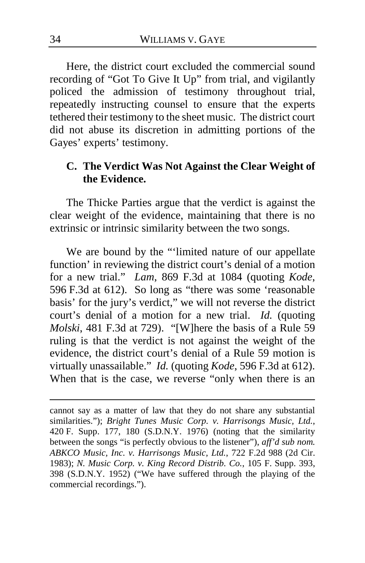Here, the district court excluded the commercial sound recording of "Got To Give It Up" from trial, and vigilantly policed the admission of testimony throughout trial, repeatedly instructing counsel to ensure that the experts tethered their testimony to the sheet music. The district court did not abuse its discretion in admitting portions of the Gayes' experts' testimony.

## **C. The Verdict Was Not Against the Clear Weight of the Evidence.**

The Thicke Parties argue that the verdict is against the clear weight of the evidence, maintaining that there is no extrinsic or intrinsic similarity between the two songs.

We are bound by the "'limited nature of our appellate function' in reviewing the district court's denial of a motion for a new trial." *Lam*, 869 F.3d at 1084 (quoting *Kode*, 596 F.3d at 612). So long as "there was some 'reasonable basis' for the jury's verdict," we will not reverse the district court's denial of a motion for a new trial. *Id.* (quoting *Molski*, 481 F.3d at 729). "[W]here the basis of a Rule 59 ruling is that the verdict is not against the weight of the evidence, the district court's denial of a Rule 59 motion is virtually unassailable." *Id.* (quoting *Kode*, 596 F.3d at 612). When that is the case, we reverse "only when there is an

cannot say as a matter of law that they do not share any substantial similarities."); *Bright Tunes Music Corp. v. Harrisongs Music, Ltd.*, 420 F. Supp. 177, 180 (S.D.N.Y. 1976) (noting that the similarity between the songs "is perfectly obvious to the listener"), *aff'd sub nom. ABKCO Music, Inc. v. Harrisongs Music, Ltd.*, 722 F.2d 988 (2d Cir. 1983); *N. Music Corp. v. King Record Distrib. Co.*, 105 F. Supp. 393, 398 (S.D.N.Y. 1952) ("We have suffered through the playing of the commercial recordings.").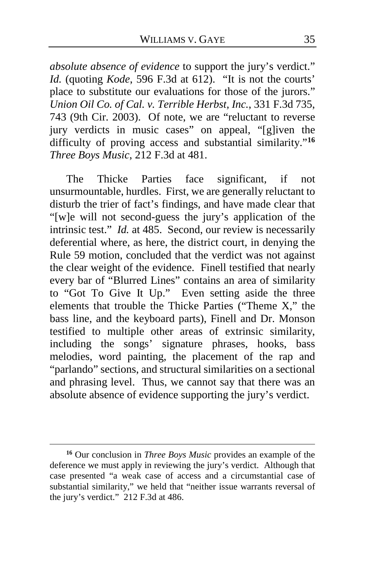*absolute absence of evidence* to support the jury's verdict." *Id.* (quoting *Kode*, 596 F.3d at 612). "It is not the courts' place to substitute our evaluations for those of the jurors." *Union Oil Co. of Cal. v. Terrible Herbst, Inc.*, 331 F.3d 735, 743 (9th Cir. 2003). Of note, we are "reluctant to reverse jury verdicts in music cases" on appeal, "[g]iven the difficulty of proving access and substantial similarity."**[16](#page-34-0)** *Three Boys Music*, 212 F.3d at 481.

The Thicke Parties face significant, if not unsurmountable, hurdles. First, we are generally reluctant to disturb the trier of fact's findings, and have made clear that "[w]e will not second-guess the jury's application of the intrinsic test." *Id.* at 485. Second, our review is necessarily deferential where, as here, the district court, in denying the Rule 59 motion, concluded that the verdict was not against the clear weight of the evidence. Finell testified that nearly every bar of "Blurred Lines" contains an area of similarity to "Got To Give It Up." Even setting aside the three elements that trouble the Thicke Parties ("Theme X," the bass line, and the keyboard parts), Finell and Dr. Monson testified to multiple other areas of extrinsic similarity, including the songs' signature phrases, hooks, bass melodies, word painting, the placement of the rap and "parlando" sections, and structural similarities on a sectional and phrasing level. Thus, we cannot say that there was an absolute absence of evidence supporting the jury's verdict.

<span id="page-34-0"></span>**<sup>16</sup>** Our conclusion in *Three Boys Music* provides an example of the deference we must apply in reviewing the jury's verdict. Although that case presented "a weak case of access and a circumstantial case of substantial similarity," we held that "neither issue warrants reversal of the jury's verdict." 212 F.3d at 486.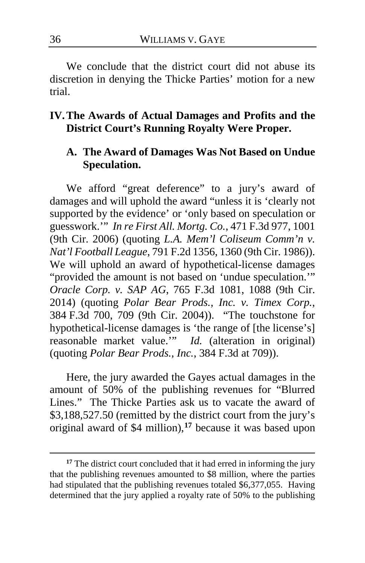We conclude that the district court did not abuse its discretion in denying the Thicke Parties' motion for a new trial.

### **IV.The Awards of Actual Damages and Profits and the District Court's Running Royalty Were Proper.**

### **A. The Award of Damages Was Not Based on Undue Speculation.**

We afford "great deference" to a jury's award of damages and will uphold the award "unless it is 'clearly not supported by the evidence' or 'only based on speculation or guesswork.'" *In re First All. Mortg. Co.*, 471 F.3d 977, 1001 (9th Cir. 2006) (quoting *L.A. Mem'l Coliseum Comm'n v. Nat'l Football League*, 791 F.2d 1356, 1360 (9th Cir. 1986)). We will uphold an award of hypothetical-license damages "provided the amount is not based on 'undue speculation.'" *Oracle Corp. v. SAP AG*, 765 F.3d 1081, 1088 (9th Cir. 2014) (quoting *Polar Bear Prods., Inc. v. Timex Corp.*, 384 F.3d 700, 709 (9th Cir. 2004)). "The touchstone for hypothetical-license damages is 'the range of [the license's] reasonable market value.'" *Id.* (alteration in original) (quoting *Polar Bear Prods., Inc.*, 384 F.3d at 709)).

Here, the jury awarded the Gayes actual damages in the amount of 50% of the publishing revenues for "Blurred Lines." The Thicke Parties ask us to vacate the award of \$3,188,527.50 (remitted by the district court from the jury's original award of \$4 million),**[17](#page-35-0)** because it was based upon

<span id="page-35-0"></span><sup>&</sup>lt;sup>17</sup> The district court concluded that it had erred in informing the jury that the publishing revenues amounted to \$8 million, where the parties had stipulated that the publishing revenues totaled \$6,377,055. Having determined that the jury applied a royalty rate of 50% to the publishing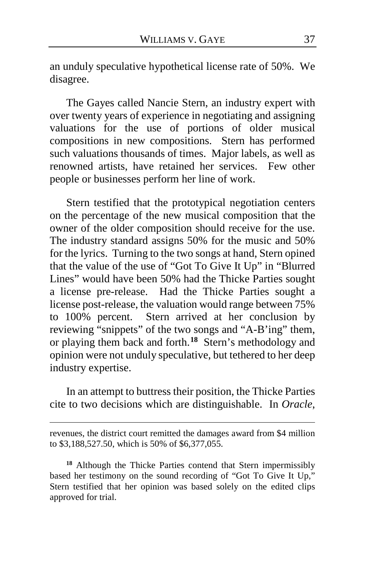an unduly speculative hypothetical license rate of 50%. We disagree.

The Gayes called Nancie Stern, an industry expert with over twenty years of experience in negotiating and assigning valuations for the use of portions of older musical compositions in new compositions. Stern has performed such valuations thousands of times. Major labels, as well as renowned artists, have retained her services. Few other people or businesses perform her line of work.

Stern testified that the prototypical negotiation centers on the percentage of the new musical composition that the owner of the older composition should receive for the use. The industry standard assigns 50% for the music and 50% for the lyrics. Turning to the two songs at hand, Stern opined that the value of the use of "Got To Give It Up" in "Blurred Lines" would have been 50% had the Thicke Parties sought a license pre-release. Had the Thicke Parties sought a license post-release, the valuation would range between 75% to 100% percent. Stern arrived at her conclusion by reviewing "snippets" of the two songs and "A-B'ing" them, or playing them back and forth.**[18](#page-36-0)** Stern's methodology and opinion were not unduly speculative, but tethered to her deep industry expertise.

In an attempt to buttress their position, the Thicke Parties cite to two decisions which are distinguishable. In *Oracle*,

revenues, the district court remitted the damages award from \$4 million to \$3,188,527.50, which is 50% of \$6,377,055.

<span id="page-36-0"></span>**<sup>18</sup>** Although the Thicke Parties contend that Stern impermissibly based her testimony on the sound recording of "Got To Give It Up," Stern testified that her opinion was based solely on the edited clips approved for trial.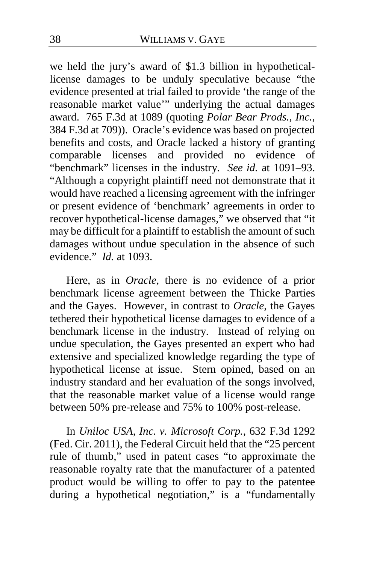we held the jury's award of \$1.3 billion in hypotheticallicense damages to be unduly speculative because "the evidence presented at trial failed to provide 'the range of the reasonable market value'" underlying the actual damages award. 765 F.3d at 1089 (quoting *Polar Bear Prods., Inc.*, 384 F.3d at 709)). Oracle's evidence was based on projected benefits and costs, and Oracle lacked a history of granting comparable licenses and provided no evidence of "benchmark" licenses in the industry. *See id.* at 1091–93. "Although a copyright plaintiff need not demonstrate that it would have reached a licensing agreement with the infringer or present evidence of 'benchmark' agreements in order to recover hypothetical-license damages," we observed that "it may be difficult for a plaintiff to establish the amount of such damages without undue speculation in the absence of such evidence." *Id.* at 1093.

Here, as in *Oracle*, there is no evidence of a prior benchmark license agreement between the Thicke Parties and the Gayes. However, in contrast to *Oracle*, the Gayes tethered their hypothetical license damages to evidence of a benchmark license in the industry. Instead of relying on undue speculation, the Gayes presented an expert who had extensive and specialized knowledge regarding the type of hypothetical license at issue. Stern opined, based on an industry standard and her evaluation of the songs involved, that the reasonable market value of a license would range between 50% pre-release and 75% to 100% post-release.

In *Uniloc USA, Inc. v. Microsoft Corp.*, 632 F.3d 1292 (Fed. Cir. 2011), the Federal Circuit held that the "25 percent rule of thumb," used in patent cases "to approximate the reasonable royalty rate that the manufacturer of a patented product would be willing to offer to pay to the patentee during a hypothetical negotiation," is a "fundamentally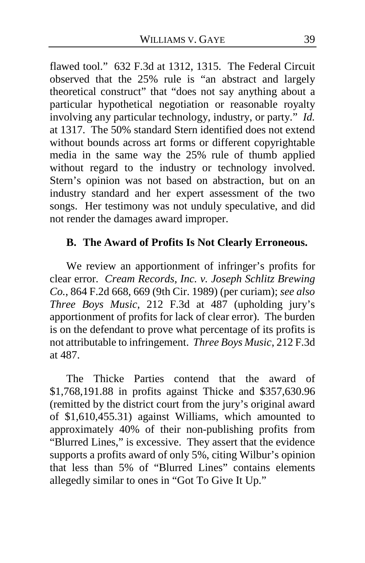flawed tool." 632 F.3d at 1312, 1315. The Federal Circuit observed that the 25% rule is "an abstract and largely theoretical construct" that "does not say anything about a particular hypothetical negotiation or reasonable royalty involving any particular technology, industry, or party." *Id.*  at 1317. The 50% standard Stern identified does not extend without bounds across art forms or different copyrightable media in the same way the 25% rule of thumb applied without regard to the industry or technology involved. Stern's opinion was not based on abstraction, but on an industry standard and her expert assessment of the two songs. Her testimony was not unduly speculative, and did not render the damages award improper.

## **B. The Award of Profits Is Not Clearly Erroneous.**

We review an apportionment of infringer's profits for clear error. *Cream Records, Inc. v. Joseph Schlitz Brewing Co.*, 864 F.2d 668, 669 (9th Cir. 1989) (per curiam); *see also Three Boys Music*, 212 F.3d at 487 (upholding jury's apportionment of profits for lack of clear error). The burden is on the defendant to prove what percentage of its profits is not attributable to infringement. *Three Boys Music*, 212 F.3d at 487.

The Thicke Parties contend that the award of \$1,768,191.88 in profits against Thicke and \$357,630.96 (remitted by the district court from the jury's original award of \$1,610,455.31) against Williams, which amounted to approximately 40% of their non-publishing profits from "Blurred Lines," is excessive. They assert that the evidence supports a profits award of only 5%, citing Wilbur's opinion that less than 5% of "Blurred Lines" contains elements allegedly similar to ones in "Got To Give It Up."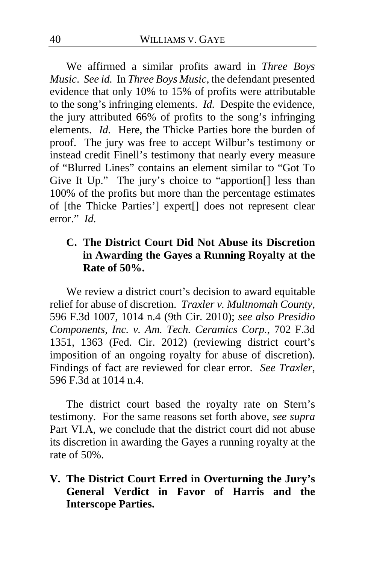We affirmed a similar profits award in *Three Boys Music*. *See id.* In *Three Boys Music*, the defendant presented evidence that only 10% to 15% of profits were attributable to the song's infringing elements. *Id.* Despite the evidence, the jury attributed 66% of profits to the song's infringing elements. *Id.* Here, the Thicke Parties bore the burden of proof. The jury was free to accept Wilbur's testimony or instead credit Finell's testimony that nearly every measure of "Blurred Lines" contains an element similar to "Got To Give It Up." The jury's choice to "apportion[] less than 100% of the profits but more than the percentage estimates of [the Thicke Parties'] expert[] does not represent clear error." *Id.*

# **C. The District Court Did Not Abuse its Discretion in Awarding the Gayes a Running Royalty at the Rate of 50%.**

We review a district court's decision to award equitable relief for abuse of discretion. *Traxler v. Multnomah County*, 596 F.3d 1007, 1014 n.4 (9th Cir. 2010); *see also Presidio Components, Inc. v. Am. Tech. Ceramics Corp.*, 702 F.3d 1351, 1363 (Fed. Cir. 2012) (reviewing district court's imposition of an ongoing royalty for abuse of discretion). Findings of fact are reviewed for clear error. *See Traxler*, 596 F.3d at 1014 n.4.

The district court based the royalty rate on Stern's testimony. For the same reasons set forth above, *see supra*  Part VI.A, we conclude that the district court did not abuse its discretion in awarding the Gayes a running royalty at the rate of 50%.

**V. The District Court Erred in Overturning the Jury's General Verdict in Favor of Harris and the Interscope Parties.**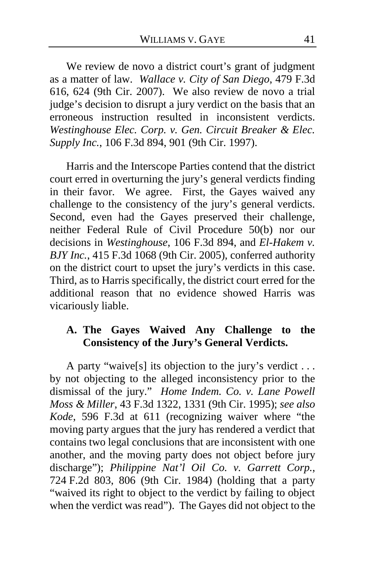We review de novo a district court's grant of judgment as a matter of law. *Wallace v. City of San Diego*, 479 F.3d 616, 624 (9th Cir. 2007). We also review de novo a trial judge's decision to disrupt a jury verdict on the basis that an erroneous instruction resulted in inconsistent verdicts. *Westinghouse Elec. Corp. v. Gen. Circuit Breaker & Elec. Supply Inc.*, 106 F.3d 894, 901 (9th Cir. 1997).

Harris and the Interscope Parties contend that the district court erred in overturning the jury's general verdicts finding in their favor. We agree. First, the Gayes waived any challenge to the consistency of the jury's general verdicts. Second, even had the Gayes preserved their challenge, neither Federal Rule of Civil Procedure 50(b) nor our decisions in *Westinghouse*, 106 F.3d 894, and *El-Hakem v. BJY Inc.*, 415 F.3d 1068 (9th Cir. 2005), conferred authority on the district court to upset the jury's verdicts in this case. Third, as to Harris specifically, the district court erred for the additional reason that no evidence showed Harris was vicariously liable.

# **A. The Gayes Waived Any Challenge to the Consistency of the Jury's General Verdicts.**

A party "waive[s] its objection to the jury's verdict . . . by not objecting to the alleged inconsistency prior to the dismissal of the jury." *Home Indem. Co. v. Lane Powell Moss & Miller*, 43 F.3d 1322, 1331 (9th Cir. 1995); *see also Kode*, 596 F.3d at 611 (recognizing waiver where "the moving party argues that the jury has rendered a verdict that contains two legal conclusions that are inconsistent with one another, and the moving party does not object before jury discharge"); *Philippine Nat'l Oil Co. v. Garrett Corp.*, 724 F.2d 803, 806 (9th Cir. 1984) (holding that a party "waived its right to object to the verdict by failing to object when the verdict was read"). The Gayes did not object to the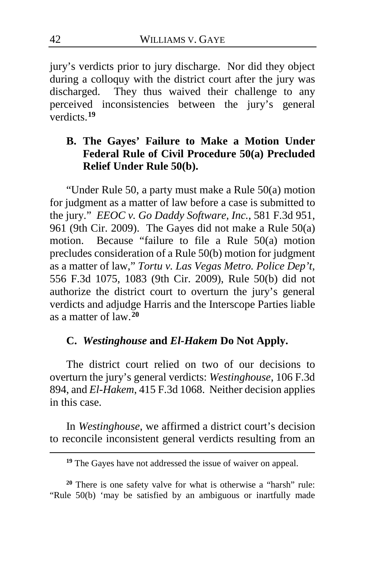jury's verdicts prior to jury discharge. Nor did they object during a colloquy with the district court after the jury was discharged. They thus waived their challenge to any perceived inconsistencies between the jury's general verdicts.**[19](#page-41-0)**

# **B. The Gayes' Failure to Make a Motion Under Federal Rule of Civil Procedure 50(a) Precluded Relief Under Rule 50(b).**

"Under Rule 50, a party must make a Rule 50(a) motion for judgment as a matter of law before a case is submitted to the jury." *EEOC v. Go Daddy Software, Inc.*, 581 F.3d 951, 961 (9th Cir. 2009). The Gayes did not make a Rule 50(a) motion. Because "failure to file a Rule 50(a) motion precludes consideration of a Rule 50(b) motion for judgment as a matter of law," *Tortu v. Las Vegas Metro. Police Dep't*, 556 F.3d 1075, 1083 (9th Cir. 2009), Rule 50(b) did not authorize the district court to overturn the jury's general verdicts and adjudge Harris and the Interscope Parties liable as a matter of law.**[20](#page-41-1)**

## **C.** *Westinghouse* **and** *El-Hakem* **Do Not Apply.**

The district court relied on two of our decisions to overturn the jury's general verdicts: *Westinghouse*, 106 F.3d 894, and *El-Hakem*, 415 F.3d 1068. Neither decision applies in this case.

In *Westinghouse*, we affirmed a district court's decision to reconcile inconsistent general verdicts resulting from an

**<sup>19</sup>** The Gayes have not addressed the issue of waiver on appeal.

<span id="page-41-1"></span><span id="page-41-0"></span>**<sup>20</sup>** There is one safety valve for what is otherwise a "harsh" rule: "Rule 50(b) 'may be satisfied by an ambiguous or inartfully made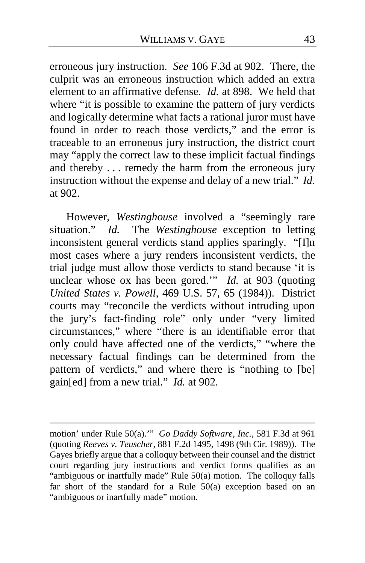erroneous jury instruction. *See* 106 F.3d at 902. There, the culprit was an erroneous instruction which added an extra element to an affirmative defense. *Id.* at 898. We held that where "it is possible to examine the pattern of jury verdicts" and logically determine what facts a rational juror must have found in order to reach those verdicts," and the error is traceable to an erroneous jury instruction, the district court may "apply the correct law to these implicit factual findings and thereby . . . remedy the harm from the erroneous jury instruction without the expense and delay of a new trial." *Id.* at 902.

However, *Westinghouse* involved a "seemingly rare situation." *Id.* The *Westinghouse* exception to letting inconsistent general verdicts stand applies sparingly. "[I]n most cases where a jury renders inconsistent verdicts, the trial judge must allow those verdicts to stand because 'it is unclear whose ox has been gored.'" *Id.* at 903 (quoting *United States v. Powell*, 469 U.S. 57, 65 (1984)). District courts may "reconcile the verdicts without intruding upon the jury's fact-finding role" only under "very limited circumstances," where "there is an identifiable error that only could have affected one of the verdicts," "where the necessary factual findings can be determined from the pattern of verdicts," and where there is "nothing to [be] gain[ed] from a new trial." *Id.* at 902.

motion' under Rule 50(a).'" *Go Daddy Software, Inc.*, 581 F.3d at 961 (quoting *Reeves v. Teuscher*, 881 F.2d 1495, 1498 (9th Cir. 1989)). The Gayes briefly argue that a colloquy between their counsel and the district court regarding jury instructions and verdict forms qualifies as an "ambiguous or inartfully made" Rule 50(a) motion. The colloquy falls far short of the standard for a Rule 50(a) exception based on an "ambiguous or inartfully made" motion.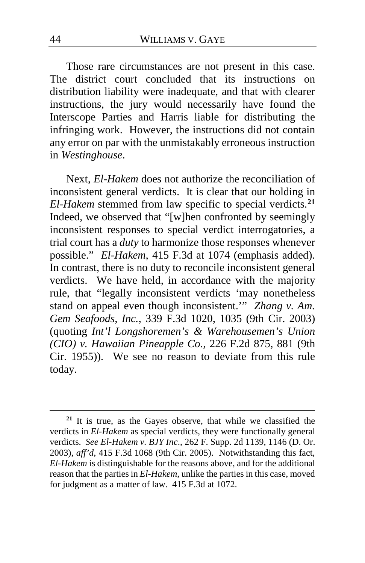Those rare circumstances are not present in this case. The district court concluded that its instructions on distribution liability were inadequate, and that with clearer instructions, the jury would necessarily have found the Interscope Parties and Harris liable for distributing the infringing work. However, the instructions did not contain any error on par with the unmistakably erroneous instruction in *Westinghouse*.

Next, *El-Hakem* does not authorize the reconciliation of inconsistent general verdicts. It is clear that our holding in *El-Hakem* stemmed from law specific to special verdicts.**[21](#page-43-0)** Indeed, we observed that "[w]hen confronted by seemingly inconsistent responses to special verdict interrogatories, a trial court has a *duty* to harmonize those responses whenever possible." *El-Hakem*, 415 F.3d at 1074 (emphasis added). In contrast, there is no duty to reconcile inconsistent general verdicts. We have held, in accordance with the majority rule, that "legally inconsistent verdicts 'may nonetheless stand on appeal even though inconsistent.'" *Zhang v. Am. Gem Seafoods, Inc.*, 339 F.3d 1020, 1035 (9th Cir. 2003) (quoting *Int'l Longshoremen's & Warehousemen's Union (CIO) v. Hawaiian Pineapple Co.*, 226 F.2d 875, 881 (9th Cir. 1955)). We see no reason to deviate from this rule today.

<span id="page-43-0"></span>**<sup>21</sup>** It is true, as the Gayes observe, that while we classified the verdicts in *El-Hakem* as special verdicts, they were functionally general verdicts. *See El-Hakem v. BJY Inc*., 262 F. Supp. 2d 1139, 1146 (D. Or. 2003), *aff'd*, 415 F.3d 1068 (9th Cir. 2005). Notwithstanding this fact, *El-Hakem* is distinguishable for the reasons above, and for the additional reason that the parties in *El-Hakem*, unlike the parties in this case, moved for judgment as a matter of law. 415 F.3d at 1072.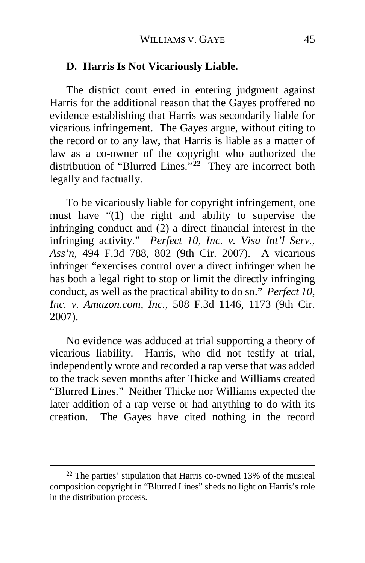## **D. Harris Is Not Vicariously Liable.**

The district court erred in entering judgment against Harris for the additional reason that the Gayes proffered no evidence establishing that Harris was secondarily liable for vicarious infringement. The Gayes argue, without citing to the record or to any law, that Harris is liable as a matter of law as a co-owner of the copyright who authorized the distribution of "Blurred Lines."**[22](#page-44-0)** They are incorrect both legally and factually.

To be vicariously liable for copyright infringement, one must have "(1) the right and ability to supervise the infringing conduct and (2) a direct financial interest in the infringing activity." *Perfect 10, Inc. v. Visa Int'l Serv., Ass'n*, 494 F.3d 788, 802 (9th Cir. 2007). A vicarious infringer "exercises control over a direct infringer when he has both a legal right to stop or limit the directly infringing conduct, as well as the practical ability to do so." *Perfect 10, Inc. v. Amazon.com, Inc.*, 508 F.3d 1146, 1173 (9th Cir. 2007).

No evidence was adduced at trial supporting a theory of vicarious liability. Harris, who did not testify at trial, independently wrote and recorded a rap verse that was added to the track seven months after Thicke and Williams created "Blurred Lines." Neither Thicke nor Williams expected the later addition of a rap verse or had anything to do with its creation. The Gayes have cited nothing in the record

<span id="page-44-0"></span>**<sup>22</sup>** The parties' stipulation that Harris co-owned 13% of the musical composition copyright in "Blurred Lines" sheds no light on Harris's role in the distribution process.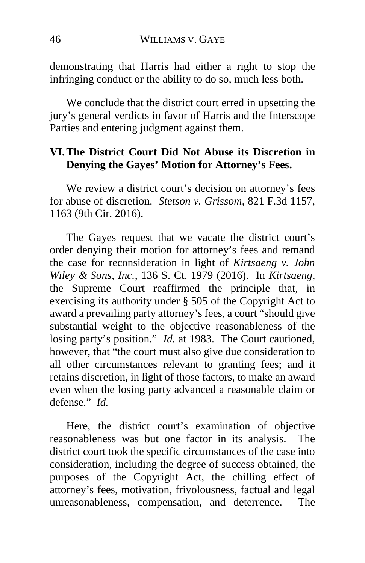demonstrating that Harris had either a right to stop the infringing conduct or the ability to do so, much less both.

We conclude that the district court erred in upsetting the jury's general verdicts in favor of Harris and the Interscope Parties and entering judgment against them.

# **VI.The District Court Did Not Abuse its Discretion in Denying the Gayes' Motion for Attorney's Fees.**

We review a district court's decision on attorney's fees for abuse of discretion. *Stetson v. Grissom*, 821 F.3d 1157, 1163 (9th Cir. 2016).

The Gayes request that we vacate the district court's order denying their motion for attorney's fees and remand the case for reconsideration in light of *Kirtsaeng v. John Wiley & Sons, Inc.*, 136 S. Ct. 1979 (2016). In *Kirtsaeng*, the Supreme Court reaffirmed the principle that, in exercising its authority under § 505 of the Copyright Act to award a prevailing party attorney's fees, a court "should give substantial weight to the objective reasonableness of the losing party's position." *Id.* at 1983. The Court cautioned, however, that "the court must also give due consideration to all other circumstances relevant to granting fees; and it retains discretion, in light of those factors, to make an award even when the losing party advanced a reasonable claim or defense." *Id.*

Here, the district court's examination of objective reasonableness was but one factor in its analysis. The district court took the specific circumstances of the case into consideration, including the degree of success obtained, the purposes of the Copyright Act, the chilling effect of attorney's fees, motivation, frivolousness, factual and legal unreasonableness, compensation, and deterrence. The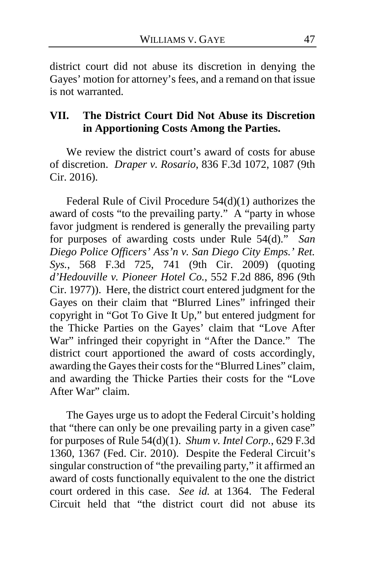district court did not abuse its discretion in denying the Gayes' motion for attorney's fees, and a remand on that issue is not warranted.

## **VII. The District Court Did Not Abuse its Discretion in Apportioning Costs Among the Parties.**

We review the district court's award of costs for abuse of discretion. *Draper v. Rosario*, 836 F.3d 1072, 1087 (9th Cir. 2016).

Federal Rule of Civil Procedure 54(d)(1) authorizes the award of costs "to the prevailing party." A "party in whose favor judgment is rendered is generally the prevailing party for purposes of awarding costs under Rule 54(d)." *San Diego Police Officers' Ass'n v. San Diego City Emps.' Ret. Sys.*, 568 F.3d 725, 741 (9th Cir. 2009) (quoting *d'Hedouville v. Pioneer Hotel Co.*, 552 F.2d 886, 896 (9th Cir. 1977)). Here, the district court entered judgment for the Gayes on their claim that "Blurred Lines" infringed their copyright in "Got To Give It Up," but entered judgment for the Thicke Parties on the Gayes' claim that "Love After War" infringed their copyright in "After the Dance." The district court apportioned the award of costs accordingly, awarding the Gayes their costs for the "Blurred Lines" claim, and awarding the Thicke Parties their costs for the "Love After War" claim.

The Gayes urge us to adopt the Federal Circuit's holding that "there can only be one prevailing party in a given case" for purposes of Rule 54(d)(1). *Shum v. Intel Corp.*, 629 F.3d 1360, 1367 (Fed. Cir. 2010). Despite the Federal Circuit's singular construction of "the prevailing party," it affirmed an award of costs functionally equivalent to the one the district court ordered in this case. *See id.* at 1364. The Federal Circuit held that "the district court did not abuse its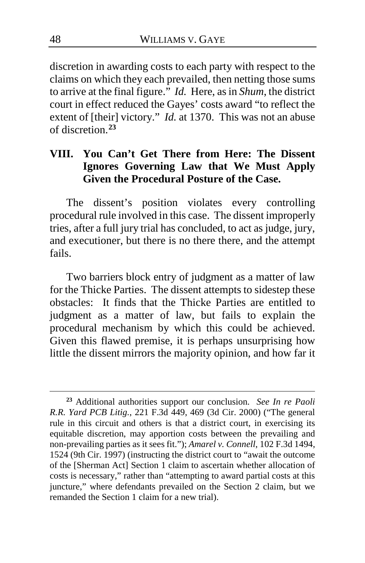discretion in awarding costs to each party with respect to the claims on which they each prevailed, then netting those sums to arrive at the final figure." *Id.* Here, as in *Shum*, the district court in effect reduced the Gayes' costs award "to reflect the extent of [their] victory." *Id.* at 1370. This was not an abuse of discretion.**[23](#page-47-0)**

# **VIII. You Can't Get There from Here: The Dissent Ignores Governing Law that We Must Apply Given the Procedural Posture of the Case.**

The dissent's position violates every controlling procedural rule involved in this case. The dissent improperly tries, after a full jury trial has concluded, to act as judge, jury, and executioner, but there is no there there, and the attempt fails.

Two barriers block entry of judgment as a matter of law for the Thicke Parties. The dissent attempts to sidestep these obstacles: It finds that the Thicke Parties are entitled to judgment as a matter of law, but fails to explain the procedural mechanism by which this could be achieved. Given this flawed premise, it is perhaps unsurprising how little the dissent mirrors the majority opinion, and how far it

<span id="page-47-0"></span>**<sup>23</sup>** Additional authorities support our conclusion. *See In re Paoli R.R. Yard PCB Litig.*, 221 F.3d 449, 469 (3d Cir. 2000) ("The general rule in this circuit and others is that a district court, in exercising its equitable discretion, may apportion costs between the prevailing and non-prevailing parties as it sees fit."); *Amarel v. Connell*, 102 F.3d 1494, 1524 (9th Cir. 1997) (instructing the district court to "await the outcome of the [Sherman Act] Section 1 claim to ascertain whether allocation of costs is necessary," rather than "attempting to award partial costs at this juncture," where defendants prevailed on the Section 2 claim, but we remanded the Section 1 claim for a new trial).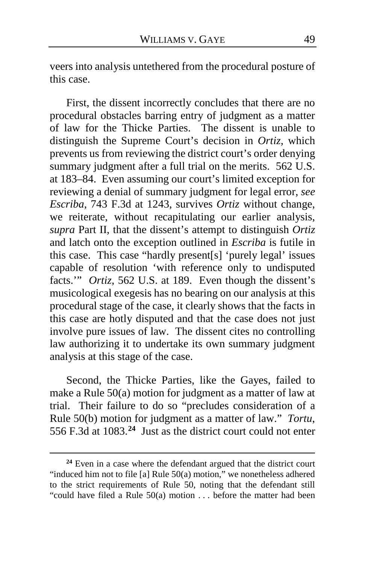veers into analysis untethered from the procedural posture of this case.

First, the dissent incorrectly concludes that there are no procedural obstacles barring entry of judgment as a matter of law for the Thicke Parties. The dissent is unable to distinguish the Supreme Court's decision in *Ortiz*, which prevents us from reviewing the district court's order denying summary judgment after a full trial on the merits. 562 U.S. at 183–84. Even assuming our court's limited exception for reviewing a denial of summary judgment for legal error, *see Escriba*, 743 F.3d at 1243, survives *Ortiz* without change, we reiterate, without recapitulating our earlier analysis, *supra* Part II, that the dissent's attempt to distinguish *Ortiz*  and latch onto the exception outlined in *Escriba* is futile in this case. This case "hardly present[s] 'purely legal' issues capable of resolution 'with reference only to undisputed facts.'" *Ortiz*, 562 U.S. at 189. Even though the dissent's musicological exegesis has no bearing on our analysis at this procedural stage of the case, it clearly shows that the facts in this case are hotly disputed and that the case does not just involve pure issues of law. The dissent cites no controlling law authorizing it to undertake its own summary judgment analysis at this stage of the case.

Second, the Thicke Parties, like the Gayes, failed to make a Rule 50(a) motion for judgment as a matter of law at trial. Their failure to do so "precludes consideration of a Rule 50(b) motion for judgment as a matter of law." *Tortu*, 556 F.3d at 1083.**[24](#page-48-0)** Just as the district court could not enter

<span id="page-48-0"></span>**<sup>24</sup>** Even in a case where the defendant argued that the district court "induced him not to file [a] Rule 50(a) motion," we nonetheless adhered to the strict requirements of Rule 50, noting that the defendant still "could have filed a Rule  $50(a)$  motion ... before the matter had been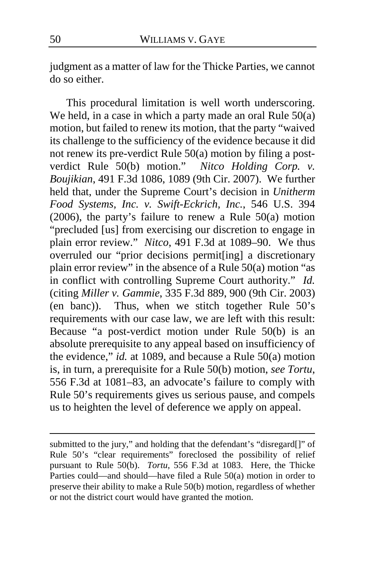judgment as a matter of law for the Thicke Parties, we cannot do so either.

This procedural limitation is well worth underscoring. We held, in a case in which a party made an oral Rule  $50(a)$ motion, but failed to renew its motion, that the party "waived its challenge to the sufficiency of the evidence because it did not renew its pre-verdict Rule 50(a) motion by filing a postverdict Rule 50(b) motion." *Nitco Holding Corp. v. Boujikian*, 491 F.3d 1086, 1089 (9th Cir. 2007). We further held that, under the Supreme Court's decision in *Unitherm Food Systems, Inc. v. Swift-Eckrich, Inc.*, 546 U.S. 394 (2006), the party's failure to renew a Rule 50(a) motion "precluded [us] from exercising our discretion to engage in plain error review." *Nitco*, 491 F.3d at 1089–90. We thus overruled our "prior decisions permit[ing] a discretionary plain error review" in the absence of a Rule 50(a) motion "as in conflict with controlling Supreme Court authority." *Id.* (citing *Miller v. Gammie*, 335 F.3d 889, 900 (9th Cir. 2003) (en banc)). Thus, when we stitch together Rule 50's requirements with our case law, we are left with this result: Because "a post-verdict motion under Rule 50(b) is an absolute prerequisite to any appeal based on insufficiency of the evidence," *id.* at 1089, and because a Rule 50(a) motion is, in turn, a prerequisite for a Rule 50(b) motion, *see Tortu*, 556 F.3d at 1081–83, an advocate's failure to comply with Rule 50's requirements gives us serious pause, and compels us to heighten the level of deference we apply on appeal.

submitted to the jury," and holding that the defendant's "disregard[]" of Rule 50's "clear requirements" foreclosed the possibility of relief pursuant to Rule 50(b). *Tortu*, 556 F.3d at 1083. Here, the Thicke Parties could—and should—have filed a Rule 50(a) motion in order to preserve their ability to make a Rule 50(b) motion, regardless of whether or not the district court would have granted the motion.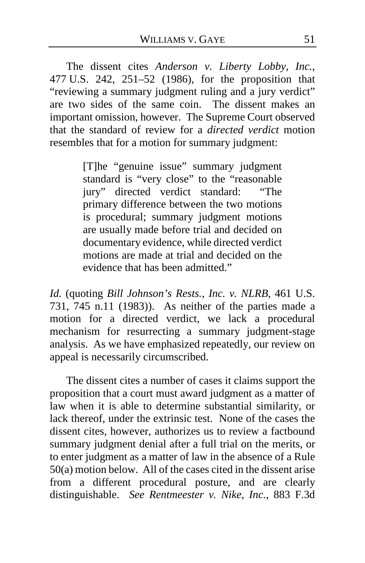The dissent cites *Anderson v. Liberty Lobby, Inc.*, 477 U.S. 242, 251–52 (1986), for the proposition that "reviewing a summary judgment ruling and a jury verdict" are two sides of the same coin. The dissent makes an important omission, however. The Supreme Court observed that the standard of review for a *directed verdict* motion resembles that for a motion for summary judgment:

> [T]he "genuine issue" summary judgment standard is "very close" to the "reasonable jury" directed verdict standard: "The primary difference between the two motions is procedural; summary judgment motions are usually made before trial and decided on documentary evidence, while directed verdict motions are made at trial and decided on the evidence that has been admitted."

*Id.* (quoting *Bill Johnson's Rests., Inc. v. NLRB*, 461 U.S. 731, 745 n.11 (1983)). As neither of the parties made a motion for a directed verdict, we lack a procedural mechanism for resurrecting a summary judgment-stage analysis. As we have emphasized repeatedly, our review on appeal is necessarily circumscribed.

The dissent cites a number of cases it claims support the proposition that a court must award judgment as a matter of law when it is able to determine substantial similarity, or lack thereof, under the extrinsic test. None of the cases the dissent cites, however, authorizes us to review a factbound summary judgment denial after a full trial on the merits, or to enter judgment as a matter of law in the absence of a Rule 50(a) motion below. All of the cases cited in the dissent arise from a different procedural posture, and are clearly distinguishable. *See Rentmeester v. Nike, Inc.*, 883 F.3d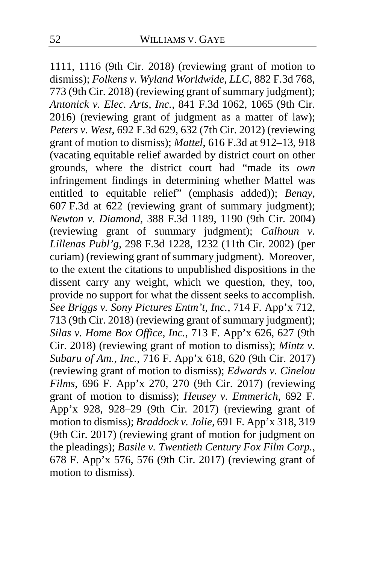1111, 1116 (9th Cir. 2018) (reviewing grant of motion to dismiss); *Folkens v. Wyland Worldwide, LLC*, 882 F.3d 768, 773 (9th Cir. 2018) (reviewing grant of summary judgment); *Antonick v. Elec. Arts, Inc.*, 841 F.3d 1062, 1065 (9th Cir. 2016) (reviewing grant of judgment as a matter of law); *Peters v. West*, 692 F.3d 629, 632 (7th Cir. 2012) (reviewing grant of motion to dismiss); *Mattel*, 616 F.3d at 912–13, 918 (vacating equitable relief awarded by district court on other grounds, where the district court had "made its *own*  infringement findings in determining whether Mattel was entitled to equitable relief" (emphasis added)); *Benay*, 607 F.3d at 622 (reviewing grant of summary judgment); *Newton v. Diamond*, 388 F.3d 1189, 1190 (9th Cir. 2004) (reviewing grant of summary judgment); *Calhoun v. Lillenas Publ'g*, 298 F.3d 1228, 1232 (11th Cir. 2002) (per curiam) (reviewing grant of summary judgment). Moreover, to the extent the citations to unpublished dispositions in the dissent carry any weight, which we question, they, too, provide no support for what the dissent seeks to accomplish. *See Briggs v. Sony Pictures Entm't, Inc.*, 714 F. App'x 712, 713 (9th Cir. 2018) (reviewing grant of summary judgment); *Silas v. Home Box Office, Inc.*, 713 F. App'x 626, 627 (9th Cir. 2018) (reviewing grant of motion to dismiss); *Mintz v. Subaru of Am., Inc.*, 716 F. App'x 618, 620 (9th Cir. 2017) (reviewing grant of motion to dismiss); *Edwards v. Cinelou Films*, 696 F. App'x 270, 270 (9th Cir. 2017) (reviewing grant of motion to dismiss); *Heusey v. Emmerich*, 692 F. App'x 928, 928–29 (9th Cir. 2017) (reviewing grant of motion to dismiss); *Braddock v. Jolie*, 691 F. App'x 318, 319 (9th Cir. 2017) (reviewing grant of motion for judgment on the pleadings); *Basile v. Twentieth Century Fox Film Corp.*, 678 F. App'x 576, 576 (9th Cir. 2017) (reviewing grant of motion to dismiss).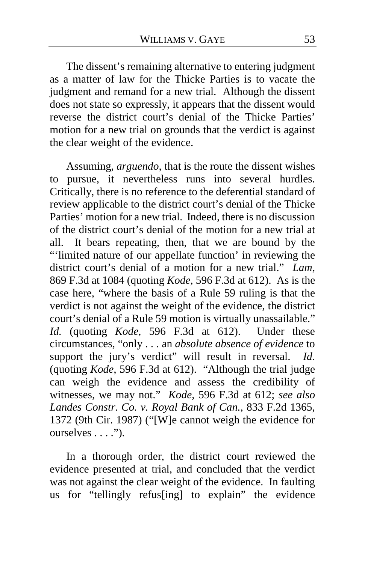The dissent's remaining alternative to entering judgment as a matter of law for the Thicke Parties is to vacate the judgment and remand for a new trial. Although the dissent does not state so expressly, it appears that the dissent would reverse the district court's denial of the Thicke Parties' motion for a new trial on grounds that the verdict is against the clear weight of the evidence.

Assuming, *arguendo*, that is the route the dissent wishes to pursue, it nevertheless runs into several hurdles. Critically, there is no reference to the deferential standard of review applicable to the district court's denial of the Thicke Parties' motion for a new trial. Indeed, there is no discussion of the district court's denial of the motion for a new trial at all. It bears repeating, then, that we are bound by the "'limited nature of our appellate function' in reviewing the district court's denial of a motion for a new trial." *Lam*, 869 F.3d at 1084 (quoting *Kode*, 596 F.3d at 612). As is the case here, "where the basis of a Rule 59 ruling is that the verdict is not against the weight of the evidence, the district court's denial of a Rule 59 motion is virtually unassailable." *Id.* (quoting *Kode*, 596 F.3d at 612). Under these circumstances, "only . . . an *absolute absence of evidence* to support the jury's verdict" will result in reversal. *Id.* (quoting *Kode*, 596 F.3d at 612). "Although the trial judge can weigh the evidence and assess the credibility of witnesses, we may not." *Kode*, 596 F.3d at 612; *see also Landes Constr. Co. v. Royal Bank of Can.*, 833 F.2d 1365, 1372 (9th Cir. 1987) ("[W]e cannot weigh the evidence for ourselves . . . .").

In a thorough order, the district court reviewed the evidence presented at trial, and concluded that the verdict was not against the clear weight of the evidence. In faulting us for "tellingly refus[ing] to explain" the evidence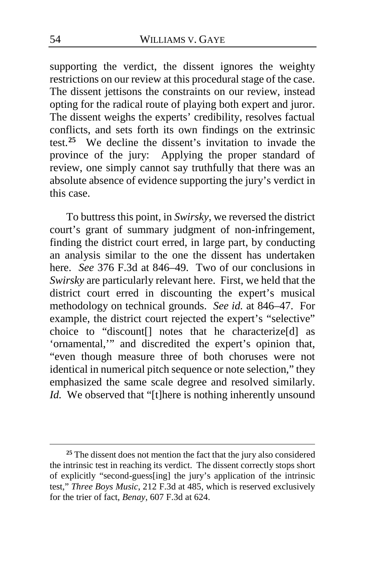supporting the verdict, the dissent ignores the weighty restrictions on our review at this procedural stage of the case. The dissent jettisons the constraints on our review, instead opting for the radical route of playing both expert and juror. The dissent weighs the experts' credibility, resolves factual conflicts, and sets forth its own findings on the extrinsic test.**[25](#page-53-0)** We decline the dissent's invitation to invade the province of the jury: Applying the proper standard of review, one simply cannot say truthfully that there was an absolute absence of evidence supporting the jury's verdict in this case.

To buttress this point, in *Swirsky*, we reversed the district court's grant of summary judgment of non-infringement, finding the district court erred, in large part, by conducting an analysis similar to the one the dissent has undertaken here. *See* 376 F.3d at 846–49. Two of our conclusions in *Swirsky* are particularly relevant here. First, we held that the district court erred in discounting the expert's musical methodology on technical grounds. *See id.* at 846–47. For example, the district court rejected the expert's "selective" choice to "discount[] notes that he characterize[d] as 'ornamental,'" and discredited the expert's opinion that, "even though measure three of both choruses were not identical in numerical pitch sequence or note selection," they emphasized the same scale degree and resolved similarly. *Id.* We observed that "[t]here is nothing inherently unsound

<span id="page-53-0"></span>**<sup>25</sup>** The dissent does not mention the fact that the jury also considered the intrinsic test in reaching its verdict. The dissent correctly stops short of explicitly "second-guess[ing] the jury's application of the intrinsic test," *Three Boys Music*, 212 F.3d at 485, which is reserved exclusively for the trier of fact, *Benay*, 607 F.3d at 624.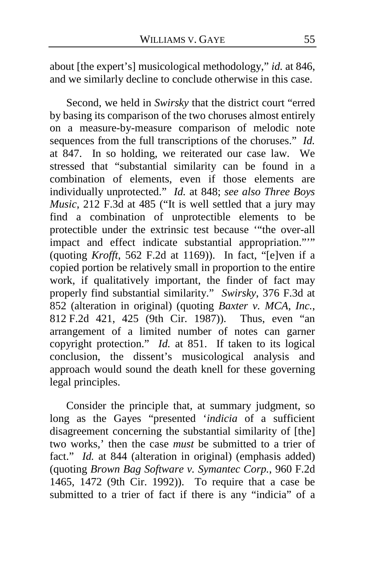about [the expert's] musicological methodology," *id.* at 846, and we similarly decline to conclude otherwise in this case.

Second, we held in *Swirsky* that the district court "erred by basing its comparison of the two choruses almost entirely on a measure-by-measure comparison of melodic note sequences from the full transcriptions of the choruses." *Id.* at 847. In so holding, we reiterated our case law. We stressed that "substantial similarity can be found in a combination of elements, even if those elements are individually unprotected." *Id.* at 848; *see also Three Boys Music*, 212 F.3d at 485 ("It is well settled that a jury may find a combination of unprotectible elements to be protectible under the extrinsic test because '"the over-all impact and effect indicate substantial appropriation."'" (quoting *Krofft*, 562 F.2d at 1169)). In fact, "[e]ven if a copied portion be relatively small in proportion to the entire work, if qualitatively important, the finder of fact may properly find substantial similarity." *Swirsky*, 376 F.3d at 852 (alteration in original) (quoting *Baxter v. MCA, Inc.*, 812 F.2d 421, 425 (9th Cir. 1987)). Thus, even "an arrangement of a limited number of notes can garner copyright protection." *Id.* at 851. If taken to its logical conclusion, the dissent's musicological analysis and approach would sound the death knell for these governing legal principles.

Consider the principle that, at summary judgment, so long as the Gayes "presented '*indicia* of a sufficient disagreement concerning the substantial similarity of [the] two works,' then the case *must* be submitted to a trier of fact." *Id.* at 844 (alteration in original) (emphasis added) (quoting *Brown Bag Software v. Symantec Corp.*, 960 F.2d 1465, 1472 (9th Cir. 1992)). To require that a case be submitted to a trier of fact if there is any "indicia" of a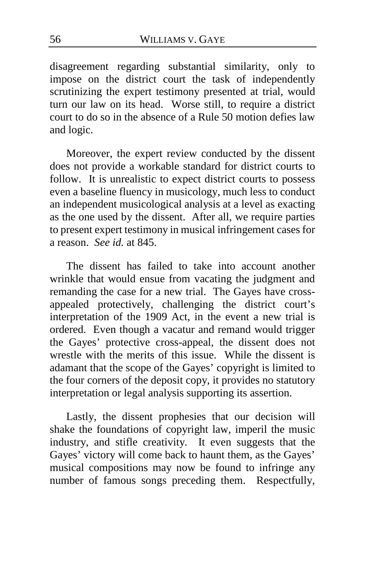disagreement regarding substantial similarity, only to impose on the district court the task of independently scrutinizing the expert testimony presented at trial, would turn our law on its head. Worse still, to require a district court to do so in the absence of a Rule 50 motion defies law and logic.

Moreover, the expert review conducted by the dissent does not provide a workable standard for district courts to follow. It is unrealistic to expect district courts to possess even a baseline fluency in musicology, much less to conduct an independent musicological analysis at a level as exacting as the one used by the dissent. After all, we require parties to present expert testimony in musical infringement cases for a reason. *See id.* at 845.

The dissent has failed to take into account another wrinkle that would ensue from vacating the judgment and remanding the case for a new trial. The Gayes have crossappealed protectively, challenging the district court's interpretation of the 1909 Act, in the event a new trial is ordered. Even though a vacatur and remand would trigger the Gayes' protective cross-appeal, the dissent does not wrestle with the merits of this issue. While the dissent is adamant that the scope of the Gayes' copyright is limited to the four corners of the deposit copy, it provides no statutory interpretation or legal analysis supporting its assertion.

Lastly, the dissent prophesies that our decision will shake the foundations of copyright law, imperil the music industry, and stifle creativity. It even suggests that the Gayes' victory will come back to haunt them, as the Gayes' musical compositions may now be found to infringe any number of famous songs preceding them. Respectfully,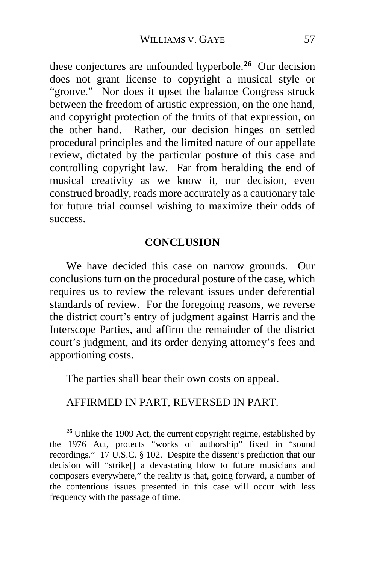these conjectures are unfounded hyperbole.**[26](#page-56-0)** Our decision does not grant license to copyright a musical style or "groove." Nor does it upset the balance Congress struck between the freedom of artistic expression, on the one hand, and copyright protection of the fruits of that expression, on the other hand. Rather, our decision hinges on settled procedural principles and the limited nature of our appellate review, dictated by the particular posture of this case and controlling copyright law. Far from heralding the end of musical creativity as we know it, our decision, even construed broadly, reads more accurately as a cautionary tale for future trial counsel wishing to maximize their odds of success.

### **CONCLUSION**

We have decided this case on narrow grounds. Our conclusions turn on the procedural posture of the case, which requires us to review the relevant issues under deferential standards of review. For the foregoing reasons, we reverse the district court's entry of judgment against Harris and the Interscope Parties, and affirm the remainder of the district court's judgment, and its order denying attorney's fees and apportioning costs.

The parties shall bear their own costs on appeal.

# AFFIRMED IN PART, REVERSED IN PART.

<span id="page-56-0"></span>**<sup>26</sup>** Unlike the 1909 Act, the current copyright regime, established by the 1976 Act, protects "works of authorship" fixed in "sound recordings." 17 U.S.C. § 102. Despite the dissent's prediction that our decision will "strike[] a devastating blow to future musicians and composers everywhere," the reality is that, going forward, a number of the contentious issues presented in this case will occur with less frequency with the passage of time.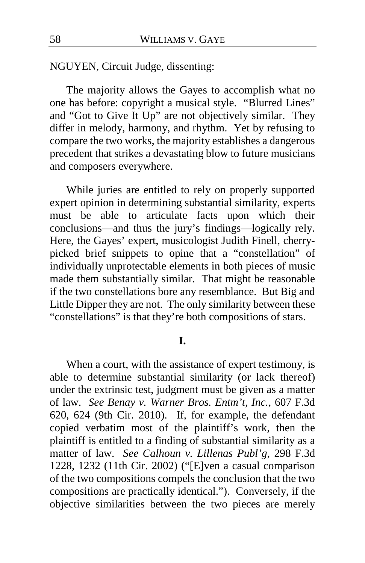NGUYEN, Circuit Judge, dissenting:

The majority allows the Gayes to accomplish what no one has before: copyright a musical style. "Blurred Lines" and "Got to Give It Up" are not objectively similar. They differ in melody, harmony, and rhythm. Yet by refusing to compare the two works, the majority establishes a dangerous precedent that strikes a devastating blow to future musicians and composers everywhere.

While juries are entitled to rely on properly supported expert opinion in determining substantial similarity, experts must be able to articulate facts upon which their conclusions—and thus the jury's findings—logically rely. Here, the Gayes' expert, musicologist Judith Finell, cherrypicked brief snippets to opine that a "constellation" of individually unprotectable elements in both pieces of music made them substantially similar. That might be reasonable if the two constellations bore any resemblance. But Big and Little Dipper they are not. The only similarity between these "constellations" is that they're both compositions of stars.

### **I.**

When a court, with the assistance of expert testimony, is able to determine substantial similarity (or lack thereof) under the extrinsic test, judgment must be given as a matter of law. *See Benay v. Warner Bros. Entm't, Inc.*, 607 F.3d 620, 624 (9th Cir. 2010). If, for example, the defendant copied verbatim most of the plaintiff's work, then the plaintiff is entitled to a finding of substantial similarity as a matter of law. *See Calhoun v. Lillenas Publ'g*, 298 F.3d 1228, 1232 (11th Cir. 2002) ("[E]ven a casual comparison of the two compositions compels the conclusion that the two compositions are practically identical."). Conversely, if the objective similarities between the two pieces are merely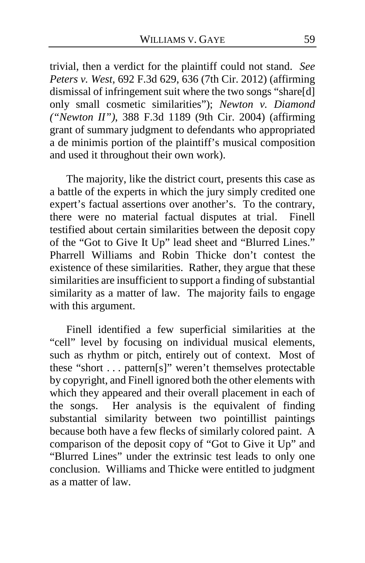trivial, then a verdict for the plaintiff could not stand. *See Peters v. West*, 692 F.3d 629, 636 (7th Cir. 2012) (affirming dismissal of infringement suit where the two songs "share[d] only small cosmetic similarities"); *Newton v. Diamond ("Newton II")*, 388 F.3d 1189 (9th Cir. 2004) (affirming grant of summary judgment to defendants who appropriated a de minimis portion of the plaintiff's musical composition and used it throughout their own work).

The majority, like the district court, presents this case as a battle of the experts in which the jury simply credited one expert's factual assertions over another's. To the contrary, there were no material factual disputes at trial. Finell testified about certain similarities between the deposit copy of the "Got to Give It Up" lead sheet and "Blurred Lines." Pharrell Williams and Robin Thicke don't contest the existence of these similarities. Rather, they argue that these similarities are insufficient to support a finding of substantial similarity as a matter of law. The majority fails to engage with this argument.

Finell identified a few superficial similarities at the "cell" level by focusing on individual musical elements, such as rhythm or pitch, entirely out of context. Most of these "short . . . pattern[s]" weren't themselves protectable by copyright, and Finell ignored both the other elements with which they appeared and their overall placement in each of the songs. Her analysis is the equivalent of finding substantial similarity between two pointillist paintings because both have a few flecks of similarly colored paint. A comparison of the deposit copy of "Got to Give it Up" and "Blurred Lines" under the extrinsic test leads to only one conclusion. Williams and Thicke were entitled to judgment as a matter of law.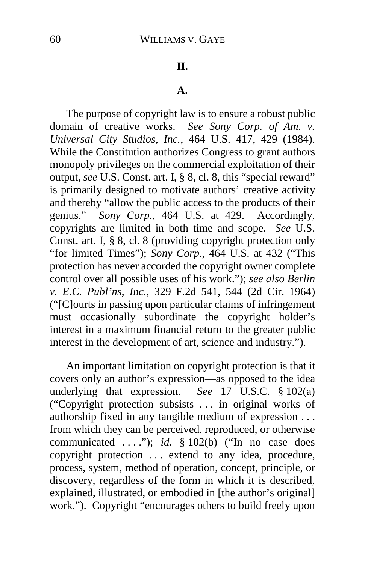#### **II.**

#### **A.**

The purpose of copyright law is to ensure a robust public domain of creative works. *See Sony Corp. of Am. v. Universal City Studios, Inc.*, 464 U.S. 417, 429 (1984). While the Constitution authorizes Congress to grant authors monopoly privileges on the commercial exploitation of their output, *see* U.S. Const. art. I, § 8, cl. 8, this "special reward" is primarily designed to motivate authors' creative activity and thereby "allow the public access to the products of their genius." *Sony Corp.*, 464 U.S. at 429. Accordingly, copyrights are limited in both time and scope. *See* U.S. Const. art. I, § 8, cl. 8 (providing copyright protection only "for limited Times"); *Sony Corp.*, 464 U.S. at 432 ("This protection has never accorded the copyright owner complete control over all possible uses of his work."); *see also Berlin v. E.C. Publ'ns, Inc.*, 329 F.2d 541, 544 (2d Cir. 1964) ("[C]ourts in passing upon particular claims of infringement must occasionally subordinate the copyright holder's interest in a maximum financial return to the greater public interest in the development of art, science and industry.").

An important limitation on copyright protection is that it covers only an author's expression—as opposed to the idea underlying that expression. *See* 17 U.S.C. § 102(a) ("Copyright protection subsists . . . in original works of authorship fixed in any tangible medium of expression . . . from which they can be perceived, reproduced, or otherwise communicated . . . ."); *id.* § 102(b) ("In no case does copyright protection . . . extend to any idea, procedure, process, system, method of operation, concept, principle, or discovery, regardless of the form in which it is described, explained, illustrated, or embodied in [the author's original] work."). Copyright "encourages others to build freely upon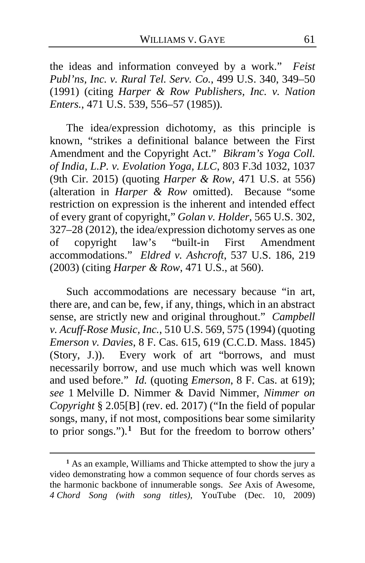the ideas and information conveyed by a work." *Feist Publ'ns, Inc. v. Rural Tel. Serv. Co.*, 499 U.S. 340, 349–50 (1991) (citing *Harper & Row Publishers, Inc. v. Nation Enters.*, 471 U.S. 539, 556–57 (1985)).

The idea/expression dichotomy, as this principle is known, "strikes a definitional balance between the First Amendment and the Copyright Act." *Bikram's Yoga Coll. of India, L.P. v. Evolation Yoga, LLC*, 803 F.3d 1032, 1037 (9th Cir. 2015) (quoting *Harper & Row*, 471 U.S. at 556) (alteration in *Harper & Row* omitted). Because "some restriction on expression is the inherent and intended effect of every grant of copyright," *Golan v. Holder*, 565 U.S. 302,  $327-28$  (2012), the idea/expression dichotomy serves as one<br>of copyright law's "built-in First Amendment of copyright law's "built-in First Amendment accommodations." *Eldred v. Ashcroft*, 537 U.S. 186, 219 (2003) (citing *Harper & Row*, 471 U.S., at 560).

Such accommodations are necessary because "in art, there are, and can be, few, if any, things, which in an abstract sense, are strictly new and original throughout." *Campbell v. Acuff-Rose Music, Inc.*, 510 U.S. 569, 575 (1994) (quoting *Emerson v. Davies*, 8 F. Cas. 615, 619 (C.C.D. Mass. 1845) (Story, J.)). Every work of art "borrows, and must necessarily borrow, and use much which was well known and used before." *Id.* (quoting *Emerson*, 8 F. Cas. at 619); *see* 1 Melville D. Nimmer & David Nimmer, *Nimmer on Copyright* § 2.05[B] (rev. ed. 2017) ("In the field of popular songs, many, if not most, compositions bear some similarity to prior songs.").**[1](#page-60-0)** But for the freedom to borrow others'

<span id="page-60-0"></span>**<sup>1</sup>** As an example, Williams and Thicke attempted to show the jury a video demonstrating how a common sequence of four chords serves as the harmonic backbone of innumerable songs. *See* Axis of Awesome, *4 Chord Song (with song titles)*, YouTube (Dec. 10, 2009)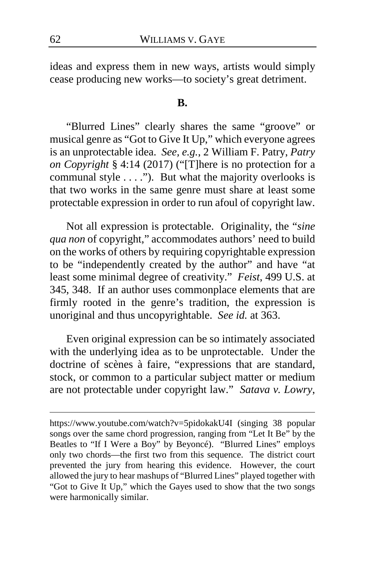ideas and express them in new ways, artists would simply cease producing new works—to society's great detriment.

#### **B.**

"Blurred Lines" clearly shares the same "groove" or musical genre as "Got to Give It Up," which everyone agrees is an unprotectable idea. *See, e.g.*, 2 William F. Patry, *Patry on Copyright* § 4:14 (2017) ("[T]here is no protection for a communal style . . . ."). But what the majority overlooks is that two works in the same genre must share at least some protectable expression in order to run afoul of copyright law.

Not all expression is protectable. Originality, the "*sine qua non* of copyright," accommodates authors' need to build on the works of others by requiring copyrightable expression to be "independently created by the author" and have "at least some minimal degree of creativity." *Feist*, 499 U.S. at 345, 348. If an author uses commonplace elements that are firmly rooted in the genre's tradition, the expression is unoriginal and thus uncopyrightable. *See id.* at 363.

Even original expression can be so intimately associated with the underlying idea as to be unprotectable. Under the doctrine of scènes à faire, "expressions that are standard, stock, or common to a particular subject matter or medium are not protectable under copyright law." *Satava v. Lowry*,

https://www.youtube.com/watch?v=5pidokakU4I (singing 38 popular songs over the same chord progression, ranging from "Let It Be" by the Beatles to "If I Were a Boy" by Beyoncé). "Blurred Lines" employs only two chords—the first two from this sequence. The district court prevented the jury from hearing this evidence. However, the court allowed the jury to hear mashups of "Blurred Lines" played together with "Got to Give It Up," which the Gayes used to show that the two songs were harmonically similar.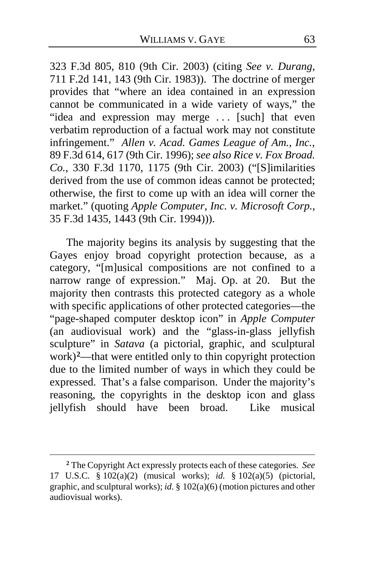323 F.3d 805, 810 (9th Cir. 2003) (citing *See v. Durang*, 711 F.2d 141, 143 (9th Cir. 1983)). The doctrine of merger provides that "where an idea contained in an expression cannot be communicated in a wide variety of ways," the "idea and expression may merge . . . [such] that even verbatim reproduction of a factual work may not constitute infringement." *Allen v. Acad. Games League of Am., Inc.*, 89 F.3d 614, 617 (9th Cir. 1996); *see also Rice v. Fox Broad. Co.*, 330 F.3d 1170, 1175 (9th Cir. 2003) ("[S]imilarities derived from the use of common ideas cannot be protected; otherwise, the first to come up with an idea will corner the market." (quoting *Apple Computer, Inc. v. Microsoft Corp.*, 35 F.3d 1435, 1443 (9th Cir. 1994))).

The majority begins its analysis by suggesting that the Gayes enjoy broad copyright protection because, as a category, "[m]usical compositions are not confined to a narrow range of expression." Maj. Op. at [20.](#page-19-0) But the majority then contrasts this protected category as a whole with specific applications of other protected categories—the "page-shaped computer desktop icon" in *Apple Computer* (an audiovisual work) and the "glass-in-glass jellyfish sculpture" in *Satava* (a pictorial, graphic, and sculptural work)**[2](#page-62-0)**—that were entitled only to thin copyright protection due to the limited number of ways in which they could be expressed. That's a false comparison. Under the majority's reasoning, the copyrights in the desktop icon and glass jellyfish should have been broad. Like musical

<span id="page-62-0"></span>**<sup>2</sup>** The Copyright Act expressly protects each of these categories. *See* 17 U.S.C. § 102(a)(2) (musical works); *id.* § 102(a)(5) (pictorial, graphic, and sculptural works); *id.* § 102(a)(6) (motion pictures and other audiovisual works).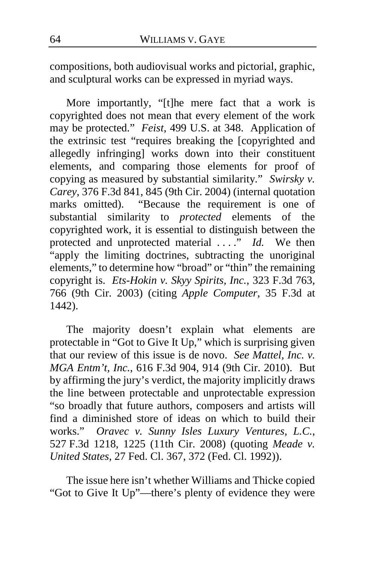compositions, both audiovisual works and pictorial, graphic, and sculptural works can be expressed in myriad ways.

More importantly, "[t]he mere fact that a work is copyrighted does not mean that every element of the work may be protected." *Feist*, 499 U.S. at 348. Application of the extrinsic test "requires breaking the [copyrighted and allegedly infringing] works down into their constituent elements, and comparing those elements for proof of copying as measured by substantial similarity." *Swirsky v. Carey*, 376 F.3d 841, 845 (9th Cir. 2004) (internal quotation marks omitted). "Because the requirement is one of substantial similarity to *protected* elements of the copyrighted work, it is essential to distinguish between the protected and unprotected material . . . ." *Id.* We then "apply the limiting doctrines, subtracting the unoriginal elements," to determine how "broad" or "thin" the remaining copyright is. *Ets-Hokin v. Skyy Spirits, Inc.*, 323 F.3d 763, 766 (9th Cir. 2003) (citing *Apple Computer*, 35 F.3d at 1442).

The majority doesn't explain what elements are protectable in "Got to Give It Up," which is surprising given that our review of this issue is de novo. *See Mattel, Inc. v. MGA Entm't, Inc.*, 616 F.3d 904, 914 (9th Cir. 2010). But by affirming the jury's verdict, the majority implicitly draws the line between protectable and unprotectable expression "so broadly that future authors, composers and artists will find a diminished store of ideas on which to build their works." *Oravec v. Sunny Isles Luxury Ventures, L.C.*, 527 F.3d 1218, 1225 (11th Cir. 2008) (quoting *Meade v. United States*, 27 Fed. Cl. 367, 372 (Fed. Cl. 1992)).

The issue here isn't whether Williams and Thicke copied "Got to Give It Up"—there's plenty of evidence they were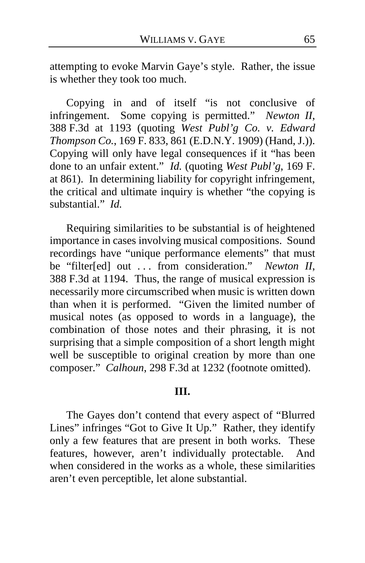attempting to evoke Marvin Gaye's style. Rather, the issue is whether they took too much.

Copying in and of itself "is not conclusive of infringement. Some copying is permitted." *Newton II*, 388 F.3d at 1193 (quoting *West Publ'g Co. v. Edward Thompson Co.*, 169 F. 833, 861 (E.D.N.Y. 1909) (Hand, J.)). Copying will only have legal consequences if it "has been done to an unfair extent." *Id.* (quoting *West Publ'g*, 169 F. at 861). In determining liability for copyright infringement, the critical and ultimate inquiry is whether "the copying is substantial." *Id.*

Requiring similarities to be substantial is of heightened importance in cases involving musical compositions. Sound recordings have "unique performance elements" that must be "filter[ed] out . . . from consideration." *Newton II*, 388 F.3d at 1194. Thus, the range of musical expression is necessarily more circumscribed when music is written down than when it is performed. "Given the limited number of musical notes (as opposed to words in a language), the combination of those notes and their phrasing, it is not surprising that a simple composition of a short length might well be susceptible to original creation by more than one composer." *Calhoun*, 298 F.3d at 1232 (footnote omitted).

## **III.**

The Gayes don't contend that every aspect of "Blurred Lines" infringes "Got to Give It Up." Rather, they identify only a few features that are present in both works. These features, however, aren't individually protectable. And when considered in the works as a whole, these similarities aren't even perceptible, let alone substantial.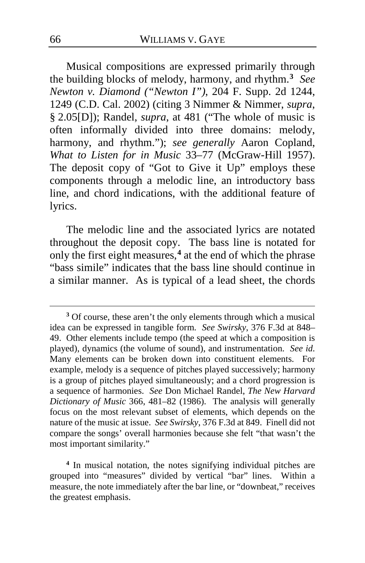Musical compositions are expressed primarily through the building blocks of melody, harmony, and rhythm.**[3](#page-65-0)** *See Newton v. Diamond ("Newton I")*, 204 F. Supp. 2d 1244, 1249 (C.D. Cal. 2002) (citing 3 Nimmer & Nimmer, *supra*, § 2.05[D]); Randel, *supra*, at 481 ("The whole of music is often informally divided into three domains: melody, harmony, and rhythm."); *see generally* Aaron Copland, *What to Listen for in Music* 33–77 (McGraw-Hill 1957). The deposit copy of "Got to Give it Up" employs these components through a melodic line, an introductory bass line, and chord indications, with the additional feature of lyrics.

The melodic line and the associated lyrics are notated throughout the deposit copy. The bass line is notated for only the first eight measures,**[4](#page-65-1)** at the end of which the phrase "bass simile" indicates that the bass line should continue in a similar manner. As is typical of a lead sheet, the chords

<span id="page-65-1"></span>**<sup>4</sup>** In musical notation, the notes signifying individual pitches are grouped into "measures" divided by vertical "bar" lines. Within a measure, the note immediately after the bar line, or "downbeat," receives the greatest emphasis.

<span id="page-65-0"></span>**<sup>3</sup>** Of course, these aren't the only elements through which a musical idea can be expressed in tangible form. *See Swirsky*, 376 F.3d at 848– 49. Other elements include tempo (the speed at which a composition is played), dynamics (the volume of sound), and instrumentation. *See id.* Many elements can be broken down into constituent elements. For example, melody is a sequence of pitches played successively; harmony is a group of pitches played simultaneously; and a chord progression is a sequence of harmonies. *See* Don Michael Randel, *The New Harvard Dictionary of Music* 366, 481–82 (1986). The analysis will generally focus on the most relevant subset of elements, which depends on the nature of the music at issue. *See Swirsky*, 376 F.3d at 849. Finell did not compare the songs' overall harmonies because she felt "that wasn't the most important similarity."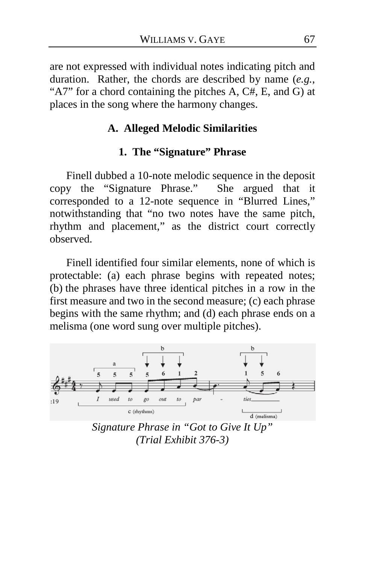are not expressed with individual notes indicating pitch and duration. Rather, the chords are described by name (*e.g.*, "A7" for a chord containing the pitches A, C#, E, and G) at places in the song where the harmony changes.

## **A. Alleged Melodic Similarities**

### **1. The "Signature" Phrase**

Finell dubbed a 10-note melodic sequence in the deposit copy the "Signature Phrase." She argued that it corresponded to a 12-note sequence in "Blurred Lines," notwithstanding that "no two notes have the same pitch, rhythm and placement," as the district court correctly observed.

Finell identified four similar elements, none of which is protectable: (a) each phrase begins with repeated notes; (b) the phrases have three identical pitches in a row in the first measure and two in the second measure; (c) each phrase begins with the same rhythm; and (d) each phrase ends on a melisma (one word sung over multiple pitches).



*Signature Phrase in "Got to Give It Up" (Trial Exhibit 376-3)*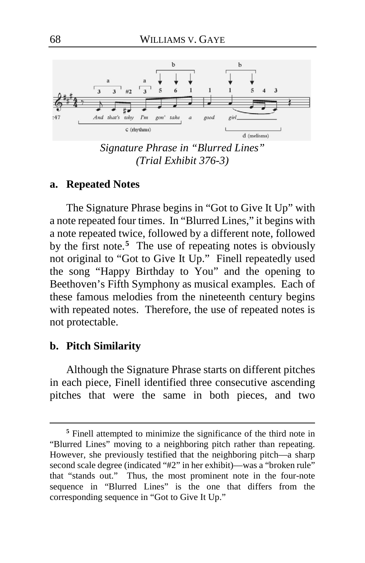

*Signature Phrase in "Blurred Lines" (Trial Exhibit 376-3)*

#### **a. Repeated Notes**

The Signature Phrase begins in "Got to Give It Up" with a note repeated four times. In "Blurred Lines," it begins with a note repeated twice, followed by a different note, followed by the first note.<sup>[5](#page-67-0)</sup> The use of repeating notes is obviously not original to "Got to Give It Up." Finell repeatedly used the song "Happy Birthday to You" and the opening to Beethoven's Fifth Symphony as musical examples. Each of these famous melodies from the nineteenth century begins with repeated notes. Therefore, the use of repeated notes is not protectable.

### **b. Pitch Similarity**

 $\overline{a}$ 

Although the Signature Phrase starts on different pitches in each piece, Finell identified three consecutive ascending pitches that were the same in both pieces, and two

<span id="page-67-0"></span>**<sup>5</sup>** Finell attempted to minimize the significance of the third note in "Blurred Lines" moving to a neighboring pitch rather than repeating. However, she previously testified that the neighboring pitch—a sharp second scale degree (indicated "#2" in her exhibit)—was a "broken rule" that "stands out." Thus, the most prominent note in the four-note sequence in "Blurred Lines" is the one that differs from the corresponding sequence in "Got to Give It Up."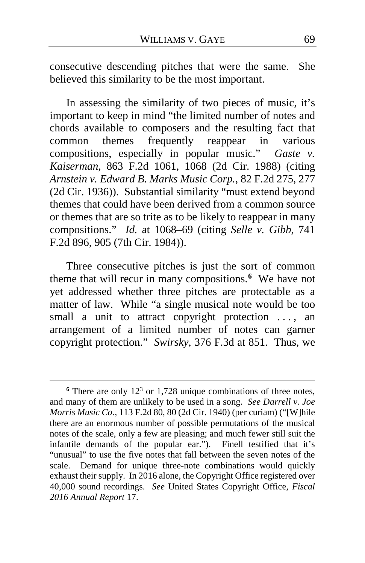consecutive descending pitches that were the same. She believed this similarity to be the most important.

In assessing the similarity of two pieces of music, it's important to keep in mind "the limited number of notes and chords available to composers and the resulting fact that common themes frequently reappear in various compositions, especially in popular music." *Gaste v. Kaiserman*, 863 F.2d 1061, 1068 (2d Cir. 1988) (citing *Arnstein v. Edward B. Marks Music Corp.*, 82 F.2d 275, 277 (2d Cir. 1936)). Substantial similarity "must extend beyond themes that could have been derived from a common source or themes that are so trite as to be likely to reappear in many compositions." *Id.* at 1068–69 (citing *Selle v. Gibb*, 741 F.2d 896, 905 (7th Cir. 1984)).

Three consecutive pitches is just the sort of common theme that will recur in many compositions.**[6](#page-68-0)** We have not yet addressed whether three pitches are protectable as a matter of law. While "a single musical note would be too small a unit to attract copyright protection ..., an arrangement of a limited number of notes can garner copyright protection." *Swirsky*, 376 F.3d at 851. Thus, we

<span id="page-68-0"></span> $6$  There are only 12<sup>3</sup> or 1,728 unique combinations of three notes, and many of them are unlikely to be used in a song. *See Darrell v. Joe Morris Music Co.*, 113 F.2d 80, 80 (2d Cir. 1940) (per curiam) ("[W]hile there are an enormous number of possible permutations of the musical notes of the scale, only a few are pleasing; and much fewer still suit the infantile demands of the popular ear."). Finell testified that it's "unusual" to use the five notes that fall between the seven notes of the scale. Demand for unique three-note combinations would quickly exhaust their supply. In 2016 alone, the Copyright Office registered over 40,000 sound recordings. *See* United States Copyright Office, *Fiscal 2016 Annual Report* 17.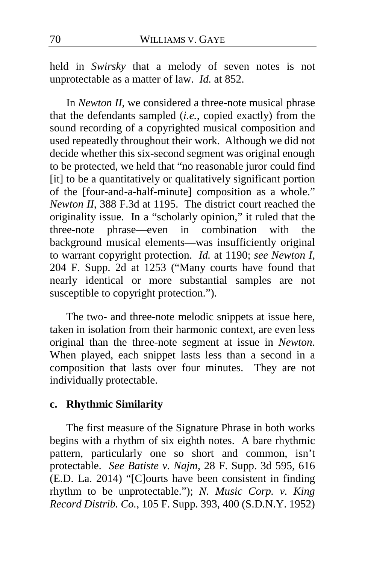held in *Swirsky* that a melody of seven notes is not unprotectable as a matter of law. *Id.* at 852.

In *Newton II*, we considered a three-note musical phrase that the defendants sampled (*i.e.*, copied exactly) from the sound recording of a copyrighted musical composition and used repeatedly throughout their work. Although we did not decide whether this six-second segment was original enough to be protected, we held that "no reasonable juror could find [it] to be a quantitatively or qualitatively significant portion of the [four-and-a-half-minute] composition as a whole." *Newton II*, 388 F.3d at 1195. The district court reached the originality issue. In a "scholarly opinion," it ruled that the three-note phrase—even in combination with the background musical elements—was insufficiently original to warrant copyright protection. *Id.* at 1190; *see Newton I*, 204 F. Supp. 2d at 1253 ("Many courts have found that nearly identical or more substantial samples are not susceptible to copyright protection.").

The two- and three-note melodic snippets at issue here, taken in isolation from their harmonic context, are even less original than the three-note segment at issue in *Newton*. When played, each snippet lasts less than a second in a composition that lasts over four minutes. They are not individually protectable.

## **c. Rhythmic Similarity**

The first measure of the Signature Phrase in both works begins with a rhythm of six eighth notes. A bare rhythmic pattern, particularly one so short and common, isn't protectable. *See Batiste v. Najm*, 28 F. Supp. 3d 595, 616 (E.D. La. 2014) "[C]ourts have been consistent in finding rhythm to be unprotectable."); *N. Music Corp. v. King Record Distrib. Co.*, 105 F. Supp. 393, 400 (S.D.N.Y. 1952)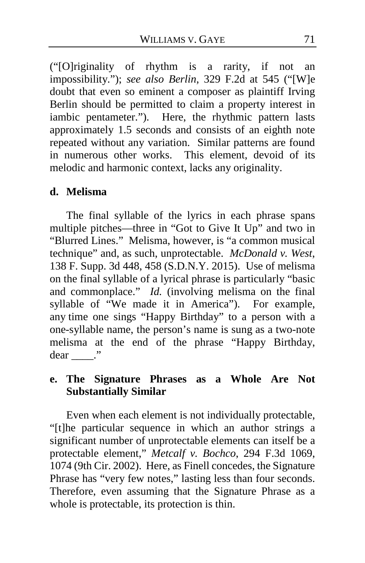("[O]riginality of rhythm is a rarity, if not an impossibility."); *see also Berlin*, 329 F.2d at 545 ("[W]e doubt that even so eminent a composer as plaintiff Irving Berlin should be permitted to claim a property interest in iambic pentameter."). Here, the rhythmic pattern lasts approximately 1.5 seconds and consists of an eighth note repeated without any variation. Similar patterns are found in numerous other works. This element, devoid of its melodic and harmonic context, lacks any originality.

## **d. Melisma**

The final syllable of the lyrics in each phrase spans multiple pitches—three in "Got to Give It Up" and two in "Blurred Lines." Melisma, however, is "a common musical technique" and, as such, unprotectable. *McDonald v. West*, 138 F. Supp. 3d 448, 458 (S.D.N.Y. 2015). Use of melisma on the final syllable of a lyrical phrase is particularly "basic and commonplace." *Id.* (involving melisma on the final syllable of "We made it in America"). For example, any time one sings "Happy Birthday" to a person with a one-syllable name, the person's name is sung as a two-note melisma at the end of the phrase "Happy Birthday, dear ."

# **e. The Signature Phrases as a Whole Are Not Substantially Similar**

Even when each element is not individually protectable, "[t]he particular sequence in which an author strings a significant number of unprotectable elements can itself be a protectable element," *Metcalf v. Bochco*, 294 F.3d 1069, 1074 (9th Cir. 2002). Here, as Finell concedes, the Signature Phrase has "very few notes," lasting less than four seconds. Therefore, even assuming that the Signature Phrase as a whole is protectable, its protection is thin.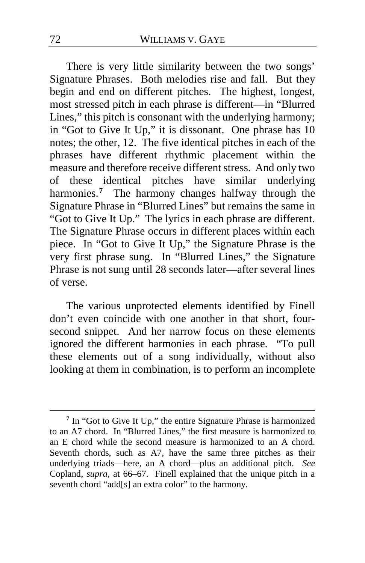There is very little similarity between the two songs' Signature Phrases. Both melodies rise and fall. But they begin and end on different pitches. The highest, longest, most stressed pitch in each phrase is different—in "Blurred Lines," this pitch is consonant with the underlying harmony; in "Got to Give It Up," it is dissonant. One phrase has 10 notes; the other, 12. The five identical pitches in each of the phrases have different rhythmic placement within the measure and therefore receive different stress. And only two of these identical pitches have similar underlying harmonies.<sup>[7](#page-71-0)</sup> The harmony changes halfway through the Signature Phrase in "Blurred Lines" but remains the same in "Got to Give It Up." The lyrics in each phrase are different. The Signature Phrase occurs in different places within each piece. In "Got to Give It Up," the Signature Phrase is the very first phrase sung. In "Blurred Lines," the Signature Phrase is not sung until 28 seconds later—after several lines of verse.

The various unprotected elements identified by Finell don't even coincide with one another in that short, foursecond snippet. And her narrow focus on these elements ignored the different harmonies in each phrase. "To pull these elements out of a song individually, without also looking at them in combination, is to perform an incomplete

<span id="page-71-0"></span>**<sup>7</sup>** In "Got to Give It Up," the entire Signature Phrase is harmonized to an A7 chord. In "Blurred Lines," the first measure is harmonized to an E chord while the second measure is harmonized to an A chord. Seventh chords, such as A7, have the same three pitches as their underlying triads—here, an A chord—plus an additional pitch. *See* Copland, *supra*, at 66–67. Finell explained that the unique pitch in a seventh chord "add[s] an extra color" to the harmony.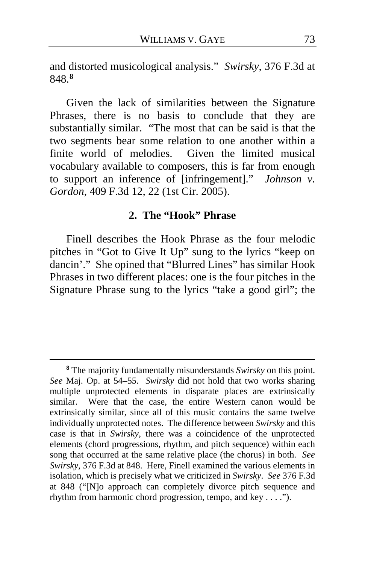and distorted musicological analysis." *Swirsky*, 376 F.3d at 848. **[8](#page-72-0)**

Given the lack of similarities between the Signature Phrases, there is no basis to conclude that they are substantially similar. "The most that can be said is that the two segments bear some relation to one another within a finite world of melodies. Given the limited musical vocabulary available to composers, this is far from enough to support an inference of [infringement]." *Johnson v. Gordon*, 409 F.3d 12, 22 (1st Cir. 2005).

## **2. The "Hook" Phrase**

Finell describes the Hook Phrase as the four melodic pitches in "Got to Give It Up" sung to the lyrics "keep on dancin'." She opined that "Blurred Lines" has similar Hook Phrases in two different places: one is the four pitches in the Signature Phrase sung to the lyrics "take a good girl"; the

<span id="page-72-0"></span>**<sup>8</sup>** The majority fundamentally misunderstands *Swirsky* on this point. *See* Maj. Op. at [54](#page-53-0)[–55.](#page-54-0) *Swirsky* did not hold that two works sharing multiple unprotected elements in disparate places are extrinsically similar. Were that the case, the entire Western canon would be extrinsically similar, since all of this music contains the same twelve individually unprotected notes. The difference between *Swirsky* and this case is that in *Swirsky*, there was a coincidence of the unprotected elements (chord progressions, rhythm, and pitch sequence) within each song that occurred at the same relative place (the chorus) in both. *See Swirsky*, 376 F.3d at 848. Here, Finell examined the various elements in isolation, which is precisely what we criticized in *Swirsky*. *See* 376 F.3d at 848 ("[N]o approach can completely divorce pitch sequence and rhythm from harmonic chord progression, tempo, and key . . . .").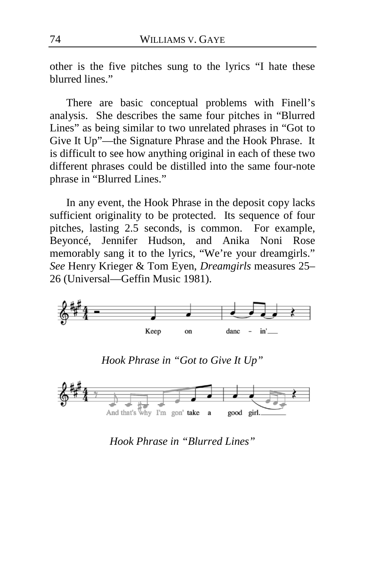other is the five pitches sung to the lyrics "I hate these blurred lines."

There are basic conceptual problems with Finell's analysis. She describes the same four pitches in "Blurred Lines" as being similar to two unrelated phrases in "Got to Give It Up"—the Signature Phrase and the Hook Phrase. It is difficult to see how anything original in each of these two different phrases could be distilled into the same four-note phrase in "Blurred Lines."

In any event, the Hook Phrase in the deposit copy lacks sufficient originality to be protected. Its sequence of four pitches, lasting 2.5 seconds, is common. For example, Beyoncé, Jennifer Hudson, and Anika Noni Rose memorably sang it to the lyrics, "We're your dreamgirls." *See* Henry Krieger & Tom Eyen, *Dreamgirls* measures 25– 26 (Universal—Geffin Music 1981).



*Hook Phrase in "Got to Give It Up"*



*Hook Phrase in "Blurred Lines"*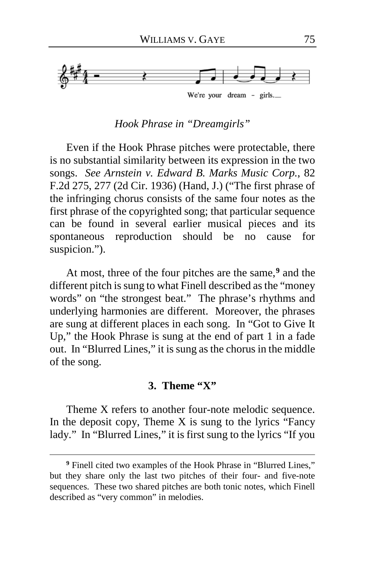

# *Hook Phrase in "Dreamgirls"*

Even if the Hook Phrase pitches were protectable, there is no substantial similarity between its expression in the two songs. *See Arnstein v. Edward B. Marks Music Corp.*, 82 F.2d 275, 277 (2d Cir. 1936) (Hand, J.) ("The first phrase of the infringing chorus consists of the same four notes as the first phrase of the copyrighted song; that particular sequence can be found in several earlier musical pieces and its spontaneous reproduction should be no cause for suspicion.").

At most, three of the four pitches are the same,**[9](#page-74-0)** and the different pitch is sung to what Finell described as the "money words" on "the strongest beat." The phrase's rhythms and underlying harmonies are different. Moreover, the phrases are sung at different places in each song. In "Got to Give It Up," the Hook Phrase is sung at the end of part 1 in a fade out. In "Blurred Lines," it is sung as the chorus in the middle of the song.

#### **3. Theme "X"**

Theme X refers to another four-note melodic sequence. In the deposit copy, Theme  $X$  is sung to the lyrics "Fancy" lady." In "Blurred Lines," it is first sung to the lyrics "If you

<span id="page-74-0"></span>**<sup>9</sup>** Finell cited two examples of the Hook Phrase in "Blurred Lines," but they share only the last two pitches of their four- and five-note sequences. These two shared pitches are both tonic notes, which Finell described as "very common" in melodies.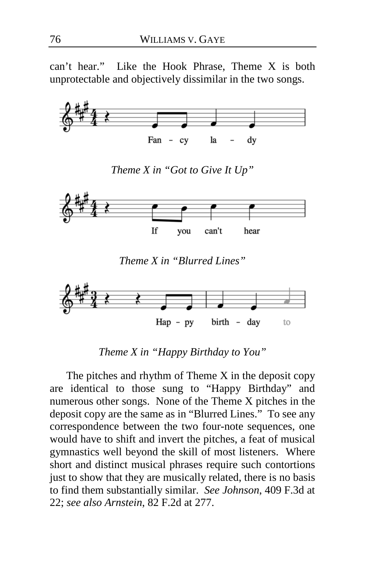can't hear." Like the Hook Phrase, Theme X is both unprotectable and objectively dissimilar in the two songs.



*Theme X in "Got to Give It Up"*



*Theme X in "Blurred Lines"*



*Theme X in "Happy Birthday to You"*

The pitches and rhythm of Theme  $X$  in the deposit copy are identical to those sung to "Happy Birthday" and numerous other songs. None of the Theme X pitches in the deposit copy are the same as in "Blurred Lines." To see any correspondence between the two four-note sequences, one would have to shift and invert the pitches, a feat of musical gymnastics well beyond the skill of most listeners. Where short and distinct musical phrases require such contortions just to show that they are musically related, there is no basis to find them substantially similar. *See Johnson*, 409 F.3d at 22; *see also Arnstein*, 82 F.2d at 277.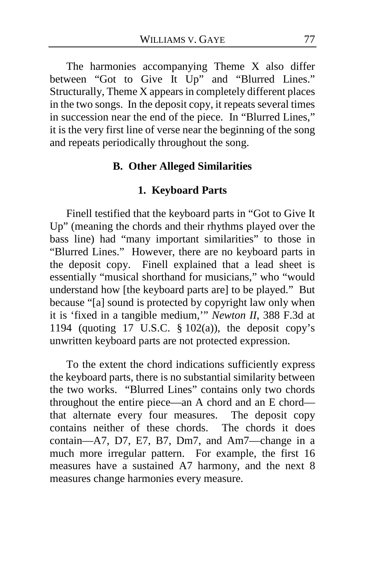The harmonies accompanying Theme X also differ between "Got to Give It Up" and "Blurred Lines." Structurally, Theme X appears in completely different places in the two songs. In the deposit copy, it repeats several times in succession near the end of the piece. In "Blurred Lines," it is the very first line of verse near the beginning of the song and repeats periodically throughout the song.

## **B. Other Alleged Similarities**

## **1. Keyboard Parts**

Finell testified that the keyboard parts in "Got to Give It Up" (meaning the chords and their rhythms played over the bass line) had "many important similarities" to those in "Blurred Lines." However, there are no keyboard parts in the deposit copy. Finell explained that a lead sheet is essentially "musical shorthand for musicians," who "would understand how [the keyboard parts are] to be played." But because "[a] sound is protected by copyright law only when it is 'fixed in a tangible medium,'" *Newton II*, 388 F.3d at 1194 (quoting 17 U.S.C.  $\S$  102(a)), the deposit copy's unwritten keyboard parts are not protected expression.

To the extent the chord indications sufficiently express the keyboard parts, there is no substantial similarity between the two works. "Blurred Lines" contains only two chords throughout the entire piece—an A chord and an E chord that alternate every four measures. The deposit copy contains neither of these chords. The chords it does contain—A7, D7, E7, B7, Dm7, and Am7—change in a much more irregular pattern. For example, the first 16 measures have a sustained A7 harmony, and the next 8 measures change harmonies every measure.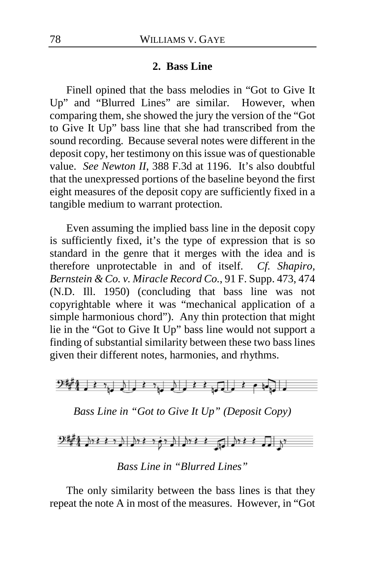#### **2. Bass Line**

Finell opined that the bass melodies in "Got to Give It Up" and "Blurred Lines" are similar. However, when comparing them, she showed the jury the version of the "Got to Give It Up" bass line that she had transcribed from the sound recording. Because several notes were different in the deposit copy, her testimony on this issue was of questionable value. *See Newton II*, 388 F.3d at 1196. It's also doubtful that the unexpressed portions of the baseline beyond the first eight measures of the deposit copy are sufficiently fixed in a tangible medium to warrant protection.

Even assuming the implied bass line in the deposit copy is sufficiently fixed, it's the type of expression that is so standard in the genre that it merges with the idea and is therefore unprotectable in and of itself. *Cf. Shapiro, Bernstein & Co. v. Miracle Record Co.*, 91 F. Supp. 473, 474 (N.D. Ill. 1950) (concluding that bass line was not copyrightable where it was "mechanical application of a simple harmonious chord"). Any thin protection that might lie in the "Got to Give It Up" bass line would not support a finding of substantial similarity between these two bass lines given their different notes, harmonies, and rhythms.



*Bass Line in "Got to Give It Up" (Deposit Copy)*



*Bass Line in "Blurred Lines"*

The only similarity between the bass lines is that they repeat the note A in most of the measures. However, in "Got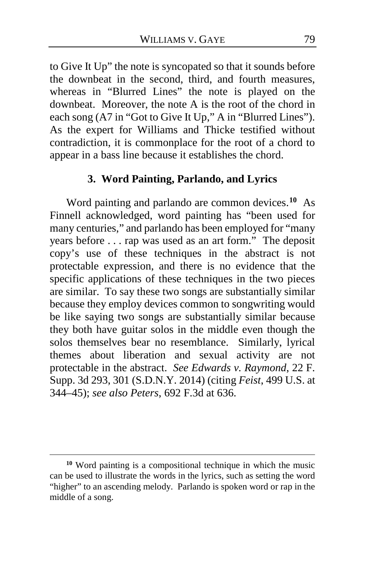to Give It Up" the note is syncopated so that it sounds before the downbeat in the second, third, and fourth measures, whereas in "Blurred Lines" the note is played on the downbeat. Moreover, the note A is the root of the chord in each song (A7 in "Got to Give It Up," A in "Blurred Lines"). As the expert for Williams and Thicke testified without contradiction, it is commonplace for the root of a chord to appear in a bass line because it establishes the chord.

# **3. Word Painting, Parlando, and Lyrics**

Word painting and parlando are common devices.**[10](#page-78-0)** As Finnell acknowledged, word painting has "been used for many centuries," and parlando has been employed for "many years before . . . rap was used as an art form." The deposit copy's use of these techniques in the abstract is not protectable expression, and there is no evidence that the specific applications of these techniques in the two pieces are similar. To say these two songs are substantially similar because they employ devices common to songwriting would be like saying two songs are substantially similar because they both have guitar solos in the middle even though the solos themselves bear no resemblance. Similarly, lyrical themes about liberation and sexual activity are not protectable in the abstract. *See Edwards v. Raymond*, 22 F. Supp. 3d 293, 301 (S.D.N.Y. 2014) (citing *Feist*, 499 U.S. at 344–45); *see also Peters*, 692 F.3d at 636.

<span id="page-78-0"></span>**<sup>10</sup>** Word painting is a compositional technique in which the music can be used to illustrate the words in the lyrics, such as setting the word "higher" to an ascending melody. Parlando is spoken word or rap in the middle of a song.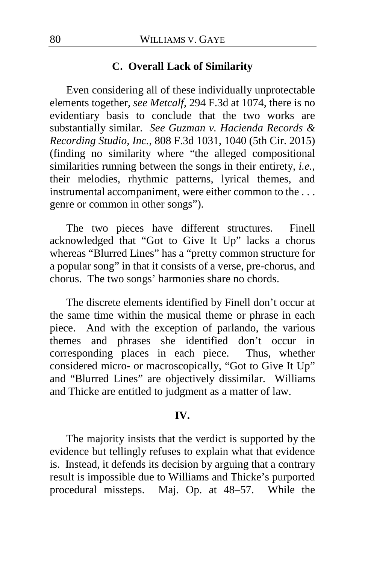## **C. Overall Lack of Similarity**

Even considering all of these individually unprotectable elements together, *see Metcalf*, 294 F.3d at 1074, there is no evidentiary basis to conclude that the two works are substantially similar. *See Guzman v. Hacienda Records & Recording Studio, Inc.*, 808 F.3d 1031, 1040 (5th Cir. 2015) (finding no similarity where "the alleged compositional similarities running between the songs in their entirety, *i.e.*, their melodies, rhythmic patterns, lyrical themes, and instrumental accompaniment, were either common to the . . . genre or common in other songs").

The two pieces have different structures. Finell acknowledged that "Got to Give It Up" lacks a chorus whereas "Blurred Lines" has a "pretty common structure for a popular song" in that it consists of a verse, pre-chorus, and chorus. The two songs' harmonies share no chords.

The discrete elements identified by Finell don't occur at the same time within the musical theme or phrase in each piece. And with the exception of parlando, the various themes and phrases she identified don't occur in corresponding places in each piece. Thus, whether considered micro- or macroscopically, "Got to Give It Up" and "Blurred Lines" are objectively dissimilar. Williams and Thicke are entitled to judgment as a matter of law.

#### **IV.**

The majority insists that the verdict is supported by the evidence but tellingly refuses to explain what that evidence is. Instead, it defends its decision by arguing that a contrary result is impossible due to Williams and Thicke's purported procedural missteps. Maj. Op. at [48–](#page-47-0)[57.](#page-56-0) While the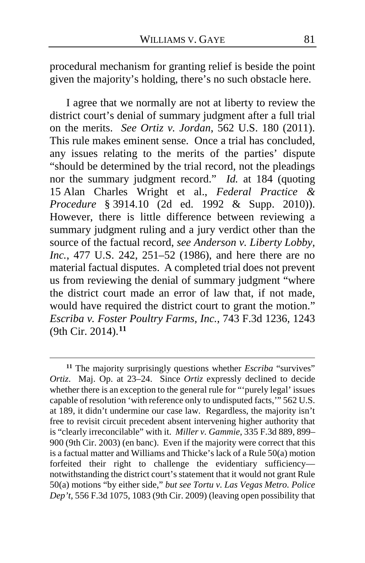procedural mechanism for granting relief is beside the point given the majority's holding, there's no such obstacle here.

I agree that we normally are not at liberty to review the district court's denial of summary judgment after a full trial on the merits. *See Ortiz v. Jordan*, 562 U.S. 180 (2011). This rule makes eminent sense. Once a trial has concluded, any issues relating to the merits of the parties' dispute "should be determined by the trial record, not the pleadings nor the summary judgment record." *Id.* at 184 (quoting 15 Alan Charles Wright et al., *Federal Practice & Procedure* § 3914.10 (2d ed. 1992 & Supp. 2010)). However, there is little difference between reviewing a summary judgment ruling and a jury verdict other than the source of the factual record, *see Anderson v. Liberty Lobby, Inc.*, 477 U.S. 242, 251–52 (1986), and here there are no material factual disputes. A completed trial does not prevent us from reviewing the denial of summary judgment "where the district court made an error of law that, if not made, would have required the district court to grant the motion." *Escriba v. Foster Poultry Farms, Inc.*, 743 F.3d 1236, 1243 (9th Cir. 2014). **[11](#page-80-0)**

<span id="page-80-0"></span>**<sup>11</sup>** The majority surprisingly questions whether *Escriba* "survives" *Ortiz*. Maj. Op. at [23–](#page-22-0)[24.](#page-23-0) Since *Ortiz* expressly declined to decide whether there is an exception to the general rule for "purely legal' issues capable of resolution 'with reference only to undisputed facts,'" 562 U.S. at 189, it didn't undermine our case law. Regardless, the majority isn't free to revisit circuit precedent absent intervening higher authority that is "clearly irreconcilable" with it. *Miller v. Gammie*, 335 F.3d 889, 899– 900 (9th Cir. 2003) (en banc). Even if the majority were correct that this is a factual matter and Williams and Thicke's lack of a Rule 50(a) motion forfeited their right to challenge the evidentiary sufficiency notwithstanding the district court's statement that it would not grant Rule 50(a) motions "by either side," *but see Tortu v. Las Vegas Metro. Police Dep't*, 556 F.3d 1075, 1083 (9th Cir. 2009) (leaving open possibility that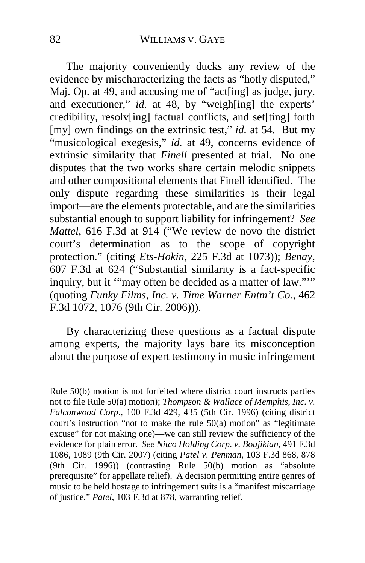The majority conveniently ducks any review of the evidence by mischaracterizing the facts as "hotly disputed," Maj. Op. at [49,](#page-48-0) and accusing me of "act[ing] as judge, jury, and executioner," *id.* at [48,](#page-47-1) by "weigh[ing] the experts' credibility, resolv[ing] factual conflicts, and set[ting] forth [my] own findings on the extrinsic test," *id.* at [54.](#page-53-1) But my "musicological exegesis," *id.* at [49,](#page-48-0) concerns evidence of extrinsic similarity that *Finell* presented at trial. No one disputes that the two works share certain melodic snippets and other compositional elements that Finell identified. The only dispute regarding these similarities is their legal import—are the elements protectable, and are the similarities substantial enough to support liability for infringement? *See Mattel*, 616 F.3d at 914 ("We review de novo the district court's determination as to the scope of copyright protection." (citing *Ets-Hokin*, 225 F.3d at 1073)); *Benay*, 607 F.3d at 624 ("Substantial similarity is a fact-specific inquiry, but it "may often be decided as a matter of law.""" (quoting *Funky Films, Inc. v. Time Warner Entm't Co.*, 462 F.3d 1072, 1076 (9th Cir. 2006))).

By characterizing these questions as a factual dispute among experts, the majority lays bare its misconception about the purpose of expert testimony in music infringement

Rule 50(b) motion is not forfeited where district court instructs parties not to file Rule 50(a) motion); *Thompson & Wallace of Memphis, Inc. v. Falconwood Corp.*, 100 F.3d 429, 435 (5th Cir. 1996) (citing district court's instruction "not to make the rule 50(a) motion" as "legitimate excuse" for not making one)—we can still review the sufficiency of the evidence for plain error. *See Nitco Holding Corp. v. Boujikian*, 491 F.3d 1086, 1089 (9th Cir. 2007) (citing *Patel v. Penman*, 103 F.3d 868, 878 (9th Cir. 1996)) (contrasting Rule 50(b) motion as "absolute prerequisite" for appellate relief). A decision permitting entire genres of music to be held hostage to infringement suits is a "manifest miscarriage" of justice," *Patel*, 103 F.3d at 878, warranting relief.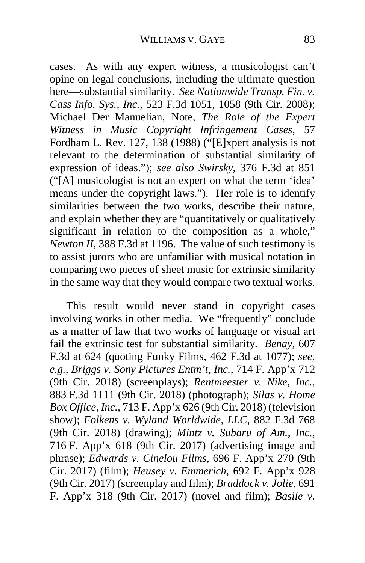cases. As with any expert witness, a musicologist can't opine on legal conclusions, including the ultimate question here—substantial similarity. *See Nationwide Transp. Fin. v. Cass Info. Sys., Inc.*, 523 F.3d 1051, 1058 (9th Cir. 2008); Michael Der Manuelian, Note, *The Role of the Expert Witness in Music Copyright Infringement Cases*, 57 Fordham L. Rev. 127, 138 (1988) ("[E]xpert analysis is not relevant to the determination of substantial similarity of expression of ideas."); *see also Swirsky*, 376 F.3d at 851 ("[A] musicologist is not an expert on what the term 'idea' means under the copyright laws."). Her role is to identify similarities between the two works, describe their nature, and explain whether they are "quantitatively or qualitatively significant in relation to the composition as a whole," *Newton II*, 388 F.3d at 1196. The value of such testimony is to assist jurors who are unfamiliar with musical notation in comparing two pieces of sheet music for extrinsic similarity in the same way that they would compare two textual works.

This result would never stand in copyright cases involving works in other media. We "frequently" conclude as a matter of law that two works of language or visual art fail the extrinsic test for substantial similarity. *Benay*, 607 F.3d at 624 (quoting Funky Films, 462 F.3d at 1077); *see, e.g.*, *Briggs v. Sony Pictures Entm't, Inc.*, 714 F. App'x 712 (9th Cir. 2018) (screenplays); *Rentmeester v. Nike, Inc.*, 883 F.3d 1111 (9th Cir. 2018) (photograph); *Silas v. Home Box Office, Inc.*, 713 F. App'x 626 (9th Cir. 2018) (television show); *Folkens v. Wyland Worldwide, LLC*, 882 F.3d 768 (9th Cir. 2018) (drawing); *Mintz v. Subaru of Am., Inc.*, 716 F. App'x 618 (9th Cir. 2017) (advertising image and phrase); *Edwards v. Cinelou Films*, 696 F. App'x 270 (9th Cir. 2017) (film); *Heusey v. Emmerich*, 692 F. App'x 928 (9th Cir. 2017) (screenplay and film); *Braddock v. Jolie*, 691 F. App'x 318 (9th Cir. 2017) (novel and film); *Basile v.*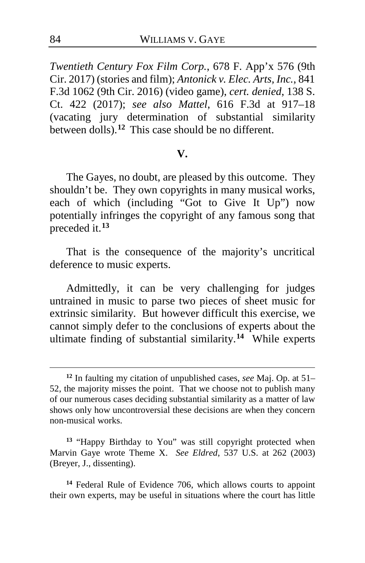*Twentieth Century Fox Film Corp.*, 678 F. App'x 576 (9th Cir. 2017) (stories and film); *Antonick v. Elec. Arts, Inc.*, 841 F.3d 1062 (9th Cir. 2016) (video game), *cert. denied*, 138 S. Ct. 422 (2017); *see also Mattel*, 616 F.3d at 917–18 (vacating jury determination of substantial similarity between dolls).**[12](#page-83-0)** This case should be no different.

#### **V.**

The Gayes, no doubt, are pleased by this outcome. They shouldn't be. They own copyrights in many musical works, each of which (including "Got to Give It Up") now potentially infringes the copyright of any famous song that preceded it.**[13](#page-83-1)**

That is the consequence of the majority's uncritical deference to music experts.

Admittedly, it can be very challenging for judges untrained in music to parse two pieces of sheet music for extrinsic similarity. But however difficult this exercise, we cannot simply defer to the conclusions of experts about the ultimate finding of substantial similarity.**[14](#page-83-2)** While experts

<span id="page-83-0"></span>**<sup>12</sup>** In faulting my citation of unpublished cases, *see* Maj. Op. at [51–](#page-50-0) [52,](#page-51-0) the majority misses the point. That we choose not to publish many of our numerous cases deciding substantial similarity as a matter of law shows only how uncontroversial these decisions are when they concern non-musical works.

<span id="page-83-1"></span>**<sup>13</sup>** "Happy Birthday to You" was still copyright protected when Marvin Gaye wrote Theme X. *See Eldred*, 537 U.S. at 262 (2003) (Breyer, J., dissenting).

<span id="page-83-2"></span>**<sup>14</sup>** Federal Rule of Evidence 706, which allows courts to appoint their own experts, may be useful in situations where the court has little